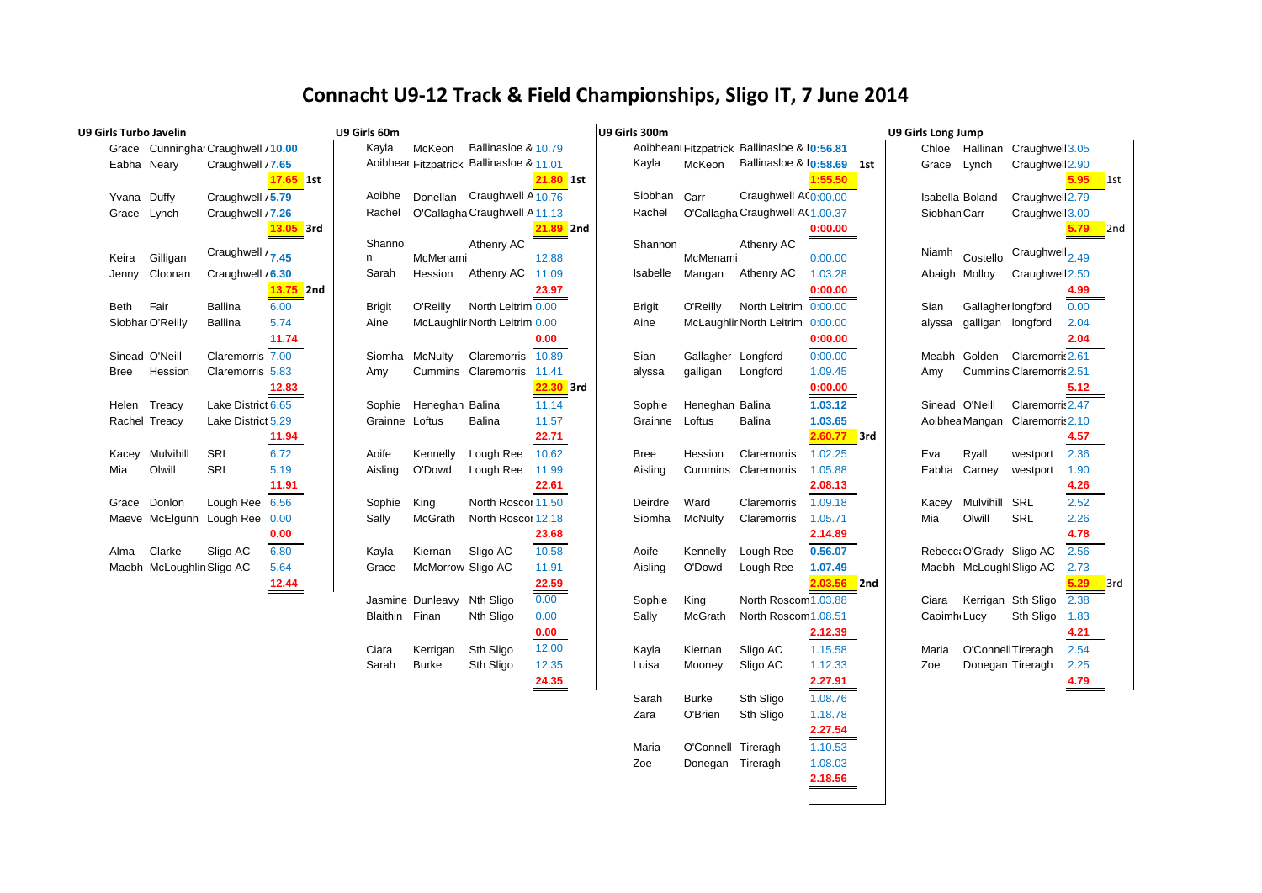## Girls Turbo Javelin<br>
U9-12 Track & Field Championships, Sligo IT, 7 June 2014<br>Up Girls 300m<br>Up Girls 300m Eabha Neary Connacht U9-12 Track & Field Championships, Sligo IT, 7 June 2014<br>Grace Cunninghal Craughwell /10.00 U9 Girls 60m<br>Eabha Neary Craughwell /7.65 Aoibhear Fitzpatrick Ballinasloe & 10.58.69 1strace Lynch Craughwel **U9-12 Track & Field Championships, Sligo IT, <sup>7</sup> June <sup>2014</sup>**

| Grace          |                           | Cunninghai Craughwell / 10.00 |       |                 |
|----------------|---------------------------|-------------------------------|-------|-----------------|
| Eabha          | Neary                     | Craughwell /7.65              |       |                 |
|                |                           |                               | 17.65 | 1st             |
| Yvana          | Duffy                     | Craughwell / 5.79             |       |                 |
| Grace          | Lynch                     | Craughwell /7.26              |       |                 |
|                |                           |                               | 13.05 | 3rd             |
| Keira          | Gilligan                  | Craughwell / 7.45             |       |                 |
| Jenny          | Cloonan                   | Craughwell / 6.30             |       |                 |
|                |                           |                               | 13.75 | 2 <sub>nd</sub> |
| <b>Beth</b>    | Fair                      | <b>Ballina</b>                | 6.00  |                 |
|                | Siobhar O'Reilly          | <b>Ballina</b>                | 5.74  |                 |
|                |                           |                               | 11.74 |                 |
| Sinead O'Neill |                           | Claremorris 7.00              |       |                 |
| <b>Bree</b>    | Hession                   | Claremorris 5.83              |       |                 |
|                |                           |                               | 12.83 |                 |
| Helen          | Treacy                    | Lake District 6.65            |       |                 |
|                | Rachel Treacy             | Lake District 5.29            |       |                 |
|                |                           |                               | 11.94 |                 |
| Kacey          | Mulvihill                 | <b>SRL</b>                    | 6.72  |                 |
| Mia            | Olwill                    | <b>SRL</b>                    | 5.19  |                 |
|                |                           |                               | 11.91 |                 |
| Grace          | Donlon                    | Lough Ree                     | 6.56  |                 |
| Maeve          | McElgunn                  | Lough Ree                     | 0.00  |                 |
|                |                           |                               | 0.00  |                 |
| Alma           | Clarke                    | Sligo AC                      | 6.80  |                 |
|                | Maebh McLoughlin Sligo AC |                               | 5.64  |                 |
|                |                           |                               | 12.44 |                 |
|                |                           |                               |       |                 |

| Girls 60m     |                                |                                            |           |     | U. |
|---------------|--------------------------------|--------------------------------------------|-----------|-----|----|
| Kayla         | McKeon<br>Aoibhear Fitzpatrick | Ballinasloe & 10.79<br>Ballinasloe & 11.01 |           |     |    |
|               |                                |                                            | 21.80 1st |     |    |
| Aoibhe        | Donellan                       | Craughwell A <sub>10.76</sub>              |           |     |    |
| Rachel        |                                | O'Callagha Craughwell A11.13               |           |     |    |
|               |                                |                                            | 21.89     | 2nd |    |
| Shanno        |                                | Athenry AC                                 |           |     |    |
| n             | McMenami                       |                                            | 12.88     |     |    |
| Sarah         | Hession                        | Athenry AC                                 | 11.09     |     |    |
|               |                                |                                            | 23.97     |     |    |
| <b>Brigit</b> | O'Reilly                       | North Leitrim 0.00                         |           |     |    |
| Aine          |                                | McLaughlir North Leitrim 0.00              |           |     |    |
|               |                                |                                            | 0.00      |     |    |
| Siomha        | <b>McNulty</b>                 | Claremorris                                | 10.89     |     |    |
| Amy           | Cummins                        | Claremorris                                | 11.41     |     |    |
|               |                                |                                            | 22.30     | 3rd |    |
| Sophie        | Heneghan Balina                |                                            | 11.14     |     |    |
| Grainne       | Loftus                         | <b>Balina</b>                              | 11.57     |     |    |
|               |                                |                                            | 22.71     |     |    |
| Aoife         | Kennelly                       | Lough Ree                                  | 10.62     |     |    |
| Aisling       | O'Dowd                         | Lough Ree                                  | 11.99     |     |    |
|               |                                |                                            | 22.61     |     |    |
| Sophie        | King                           | North Roscor 11.50                         |           |     |    |
| Sally         | <b>McGrath</b>                 | North Roscor 12.18                         |           |     |    |
|               |                                |                                            | 23.68     |     |    |
| Kayla         | Kiernan                        | Sligo AC                                   | 10.58     |     |    |
| Grace         | McMorrow Sligo AC              |                                            | 11.91     |     |    |
|               |                                |                                            | 22.59     |     |    |
|               | Jasmine Dunleavy               | Nth Sligo                                  | 0.00      |     |    |
| Blaithin      | Finan                          | Nth Sligo                                  | 0.00      |     |    |
|               |                                |                                            | 0.00      |     |    |
| Ciara         | Kerrigan                       | Sth Sligo                                  | 12.00     |     |    |
| Sarah         | Burke                          | Sth Sligo                                  | 12.35     |     |    |
|               |                                |                                            | 24.35     |     |    |

|                | ls Turbo Javelin          |                                     |             | U9 Girls 60m  |                            |                                          |             | U9 Girls 300m |                    |                                            |                | U9 Girls Long Jump |                          |                                 |                 |     |
|----------------|---------------------------|-------------------------------------|-------------|---------------|----------------------------|------------------------------------------|-------------|---------------|--------------------|--------------------------------------------|----------------|--------------------|--------------------------|---------------------------------|-----------------|-----|
|                |                           | Grace Cunninghal Craughwell / 10.00 |             | Kayla         | McKeon                     | Ballinasloe & 10.79                      |             |               |                    | Aoibhean Fitzpatrick Ballinasloe & 0:56.81 |                |                    |                          | Chloe Hallinan Craughwell 3.05  |                 |     |
| Eabha Neary    |                           | Craughwell / 7.65                   |             |               |                            | Aoibhear Fitzpatrick Ballinasloe & 11.01 |             | Kayla         | McKeon             | Ballinasloe & $0.58.69$ 1st                |                | Grace Lynch        |                          | Craughwell 2.90                 |                 |     |
|                |                           |                                     | $17.65$ 1st |               |                            |                                          | 21.80 1st   |               |                    |                                            | 1:55.50        |                    |                          |                                 | $5.95$ 1st      |     |
| Yvana Duffy    |                           | Craughwell / 5.79                   |             | Aoibhe        |                            | Donellan Craughwell A <sub>10.76</sub>   |             | Siobhan Carr  |                    | Craughwell A(0:00.00                       |                | Isabella Boland    |                          | Craughwell 2.79                 |                 |     |
| Grace Lynch    |                           | Craughwell / 7.26                   |             | Rachel        |                            | O'Callagha Craughwell A11.13             |             | Rachel        |                    | O'Callagha Craughwell A(1.00.37            |                | Siobhan Carr       |                          | Craughwell 3.00                 |                 |     |
|                |                           |                                     | 13.05 3rd   |               |                            |                                          | $21.89$ 2nd |               |                    |                                            | 0:00.00        |                    |                          |                                 | <b>5.79</b> 2nd |     |
|                |                           |                                     |             | Shanno        |                            | Athenry AC                               |             | Shannon       |                    | Athenry AC                                 |                |                    |                          |                                 |                 |     |
|                | Keira Gilligan            | Craughwell / 7.45                   |             | n             | McMenami                   |                                          | 12.88       |               | McMenami           |                                            | 0:00.00        | Niamh              | Costello                 | Craughwell <sub>2.49</sub>      |                 |     |
|                | Jenny Cloonan             | Craughwell / 6.30                   |             | Sarah         | Hession                    | Athenry AC                               | 11.09       | Isabelle      | Mangan             | Athenry AC                                 | 1.03.28        | Abaigh Molloy      |                          | Craughwell 2.50                 |                 |     |
|                |                           |                                     | $13.75$ 2nd |               |                            |                                          | 23.97       |               |                    |                                            | 0:00.00        |                    |                          |                                 | 4.99            |     |
| Beth Fair      |                           | <b>Ballina</b>                      | 6.00        | <b>Brigit</b> | O'Reilly                   | North Leitrim 0.00                       |             | Brigit        | O'Reilly           | North Leitrim 0:00.00                      |                | Sian               | Gallagher longford       |                                 | 0.00            |     |
|                | Siobhar O'Reilly          | Ballina                             | 5.74        | Aine          |                            | McLaughlir North Leitrim 0.00            |             | Aine          |                    | McLaughlir North Leitrim 0:00.00           |                | alyssa             | galligan longford        |                                 | 2.04            |     |
|                |                           |                                     | 11.74       |               |                            |                                          | 0.00        |               |                    |                                            | 0:00.00        |                    |                          |                                 | 2.04            |     |
| Sinead O'Neill |                           | Claremorris 7.00                    |             |               | Siomha McNulty             | Claremorris                              | 10.89       | Sian          | Gallagher Longford |                                            | 0:00.00        |                    |                          | Meabh Golden Claremorris 2.61   |                 |     |
| Bree           | Hession                   | Claremorris 5.83                    |             | Amy           |                            | Cummins Claremorris 11.41                |             | alyssa        | galligan           | Longford                                   | 1.09.45        | Amy                |                          | Cummins Claremorris 2.51        |                 |     |
|                |                           |                                     | 12.83       |               |                            |                                          | 22.30 3rd   |               |                    |                                            | 0:00.00        |                    |                          |                                 | 5.12            |     |
| Helen Treacy   |                           | Lake District 6.65                  |             | Sophie        | Heneghan Balina            |                                          | 11.14       | Sophie        | Heneghan Balina    |                                            | 1.03.12        | Sinead O'Neill     |                          | Claremorris 2.47                |                 |     |
| Rachel Treacy  |                           | Lake District 5.29                  |             |               | Grainne Loftus             | <b>Balina</b>                            | 11.57       | Grainne       | Loftus             | Balina                                     | 1.03.65        |                    |                          | Aoibhea Mangan Claremorris 2.10 |                 |     |
|                |                           |                                     | 11.94       |               |                            |                                          | 22.71       |               |                    |                                            | 2.60.77<br>3rd |                    |                          |                                 | 4.57            |     |
|                | Kacey Mulvihill           | SRL                                 | 6.72        | Aoife         | Kennelly                   | Lough Ree                                | 10.62       | Bree          | Hession            | Claremorris                                | 1.02.25        | Eva                | Ryall                    | westport                        | 2.36            |     |
| Mia            | Olwill                    | <b>SRL</b>                          | 5.19        | Aisling       | O'Dowd                     | Lough Ree                                | 11.99       | Aisling       |                    | Cummins Claremorris                        | 1.05.88        |                    | Eabha Carney             | westport                        | 1.90            |     |
|                |                           |                                     | 11.91       |               |                            |                                          | 22.61       |               |                    |                                            | 2.08.13        |                    |                          |                                 | 4.26            |     |
|                | Grace Donlon              | Lough Ree 6.56                      |             | Sophie        | King                       | North Roscor 11.50                       |             | Deirdre       | Ward               | Claremorris                                | 1.09.18        |                    | Kacey Mulvihill SRL      |                                 | 2.52            |     |
|                |                           | Maeve McElgunn Lough Ree 0.00       |             | Sally         | McGrath                    | North Roscor 12.18                       |             | Siomha        | McNulty            | Claremorris                                | 1.05.71        | Mia                | Olwill                   | <b>SRL</b>                      | 2.26            |     |
|                |                           |                                     | 0.00        |               |                            |                                          | 23.68       |               |                    |                                            | 2.14.89        |                    |                          |                                 | 4.78            |     |
| Alma Clarke    |                           | Sligo AC                            | 6.80        | Kayla         | Kiernan                    | Sligo AC                                 | 10.58       | Aoife         | Kennelly           | Lough Ree                                  | 0.56.07        |                    | Rebecc: O'Grady Sligo AC |                                 | 2.56            |     |
|                | Maebh McLoughlin Sligo AC |                                     | 5.64        | Grace         | McMorrow Sligo AC          |                                          | 11.91       | Aisling       | O'Dowd             | Lough Ree                                  | 1.07.49        |                    |                          | Maebh McLough Sligo AC          | 2.73            |     |
|                |                           |                                     | 12.44       |               |                            |                                          | 22.59       |               |                    |                                            | $2.03.56$ 2nd  |                    |                          |                                 | 5.29            | 3rd |
|                |                           |                                     |             |               | Jasmine Dunleavy Nth Sligo |                                          | 0.00        | Sophie        | King               | North Roscon 1.03.88                       |                |                    |                          | Ciara Kerrigan Sth Sligo        | 2.38            |     |
|                |                           |                                     |             |               | Blaithin Finan             | Nth Sligo                                | 0.00        | Sally         | McGrath            | North Roscon 1.08.51                       |                | Caoimh Lucy        |                          | Sth Sligo                       | 1.83            |     |
|                |                           |                                     |             |               |                            |                                          | 0.00        |               |                    |                                            | 2.12.39        |                    |                          |                                 | 4.21            |     |
|                |                           |                                     |             | Ciara         | Kerrigan                   | Sth Sligo                                | 12.00       | Kayla         | Kiernan            | Sligo AC                                   | 1.15.58        | Maria              | O'Connell Tireragh       |                                 | 2.54            |     |
|                |                           |                                     |             | Sarah         | <b>Burke</b>               | Sth Sligo                                | 12.35       | Luisa         | Mooney             | Sligo AC                                   | 1.12.33        | Zoe                |                          | Donegan Tireragh                | 2.25            |     |
|                |                           |                                     |             |               |                            |                                          | 24.35       |               |                    |                                            | 2.27.91        |                    |                          |                                 | 4.79            |     |
|                |                           |                                     |             |               |                            |                                          |             | Sarah         | <b>Burke</b>       | Sth Sligo                                  | 1.08.76        |                    |                          |                                 |                 |     |
|                |                           |                                     |             |               |                            |                                          |             | Zara          | O'Brien            | Sth Sligo                                  | 1.18.78        |                    |                          |                                 |                 |     |
|                |                           |                                     |             |               |                            |                                          |             |               |                    |                                            | 2.27.54        |                    |                          |                                 |                 |     |
|                |                           |                                     |             |               |                            |                                          |             | Maria         | O'Connell Tireragh |                                            | 1.10.53        |                    |                          |                                 |                 |     |
|                |                           |                                     |             |               |                            |                                          |             | Zoe           | Donegan Tireragh   |                                            | 1.08.03        |                    |                          |                                 |                 |     |
|                |                           |                                     |             |               |                            |                                          |             |               |                    |                                            | 2.18.56        |                    |                          |                                 |                 |     |

## Grace CunninghamCraughwell A**1**C**0.00** Kayla McKeon Ballinasloe & 1D0is.7tr9ict AC AoibheannFitzpatrick Ballinasloe & D**0**i**:**s**5**tr**6**ic**.8**t**1**AC Chloe Hallinan Craughwell3A.0C5 0:00.00 Niamh Costello Craughwell<sub>2.49</sub> Abaigh Molloy Craughwell 2.50 alyssa galligan longford 2.04 Meabh Golden Claremorris 2.61 Amy Cummins Claremorris 2.51 Aoibhea Mangan Claremorris 2.10  $\frac{4.26}{2.52}$  Kacey Mulvihill SRL  $\frac{4.26}{2.52}$ Rebecc O'Grady Sligo AC 2.56 Maebh McLoughl Sligo AC 2.73 Ciara Kerrigan Sth Sligo 2.38 Caoimh Lucy Sth Sligo 1.83 Maria O'ConnellTireragh 2.54 Zoe Donegan Tireragh 2.25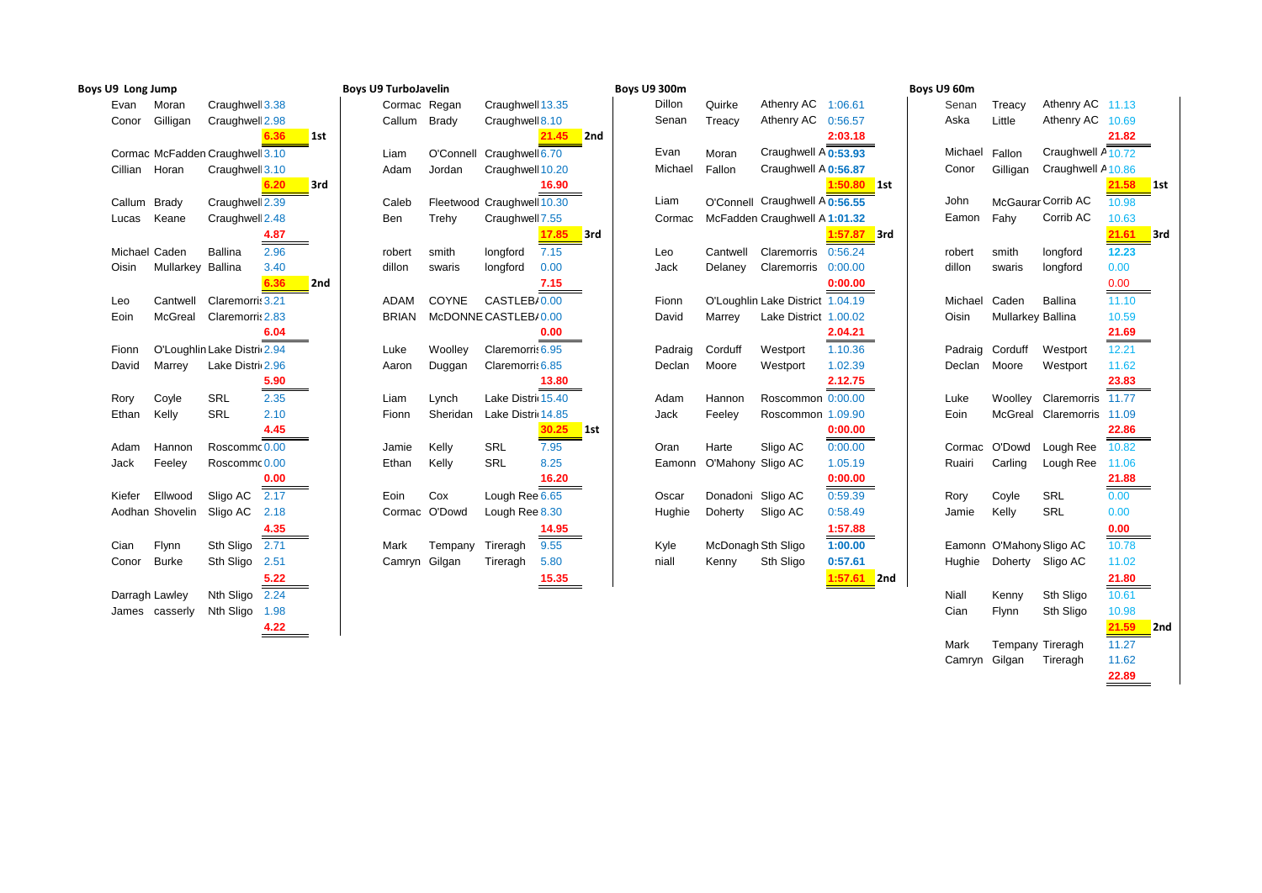| U9 Long Jump  |                   |                                 |                    | <b>Boys U9 TurboJavelin</b> |               |               |                            |              | <b>Boys U9 300m</b> |         |                    |                                  |                | Boys U9 60m |                          |                               |             |     |
|---------------|-------------------|---------------------------------|--------------------|-----------------------------|---------------|---------------|----------------------------|--------------|---------------------|---------|--------------------|----------------------------------|----------------|-------------|--------------------------|-------------------------------|-------------|-----|
| Evan          | Moran             | Craughwell 3.38                 |                    |                             | Cormac Regan  |               | Craughwell 13.35           |              |                     | Dillon  | Quirke             | Athenry AC                       | 1:06.61        | Senan       | Treacy                   | Athenry AC 11.13              |             |     |
| Conor         | Gilligan          | Craughwell 2.98                 |                    |                             | Callum Brady  |               | Craughwell 8.10            |              |                     | Senan   | Treacy             | Athenry AC                       | 0:56.57        | Aska        | Little                   | Athenry AC 10.69              |             |     |
|               |                   |                                 | 6.36<br><b>1st</b> |                             |               |               |                            | 21.45<br>2nd |                     |         |                    |                                  | 2:03.18        |             |                          |                               | 21.82       |     |
|               |                   | Cormac McFadden Craughwell 3.10 |                    |                             | Liam          | O'Connell     | Craughwell 6.70            |              |                     | Evan    | Moran              | Craughwell A 0:53.93             |                | Michael     | Fallon                   | Craughwell A <sub>10.72</sub> |             |     |
| Cillian Horan |                   | Craughwell 3.10                 |                    |                             | Adam          | Jordan        | Craughwell 10.20           |              |                     | Michael | Fallon             | Craughwell A 0:56.87             |                | Conor       | Gilligan                 | Craughwell A <sub>10.86</sub> |             |     |
|               |                   |                                 | 3rd<br>6.20        |                             |               |               |                            | 16.90        |                     |         |                    |                                  | $1:50.80$ 1st  |             |                          |                               | $21.58$ 1st |     |
| Callum        | Brady             | Craughwell 2.39                 |                    |                             | Caleb         |               | Fleetwood Craughwell 10.30 |              |                     | Liam    |                    | O'Connell Craughwell A 0:56.55   |                | John        |                          | McGaurar Corrib AC            | 10.98       |     |
| Lucas         | Keane             | Craughwell 2.48                 |                    |                             | Ben           | Trehy         | Craughwell 7.55            |              |                     | Cormac  |                    | McFadden Craughwell A 1:01.32    |                | Eamon       | Fahy                     | Corrib AC                     | 10.63       |     |
|               |                   |                                 | 4.87               |                             |               |               |                            | 17.85<br>3rd |                     |         |                    |                                  | 1:57.87<br>3rd |             |                          |                               | 21.61       | 3rd |
|               | Michael Caden     | <b>Ballina</b>                  | 2.96               |                             | robert        | smith         | longford                   | 7.15         |                     | Leo     | Cantwell           | Claremorris 0:56.24              |                | robert      | smith                    | longford                      | 12.23       |     |
| Oisin         | Mullarkey Ballina |                                 | 3.40               |                             | dillon        | swaris        | longford                   | 0.00         |                     | Jack    | Delaney            | Claremorris                      | 0:00.00        | dillon      | swaris                   | longford                      | 0.00        |     |
|               |                   |                                 | 6.36<br>2nd        |                             |               |               |                            | 7.15         |                     |         |                    |                                  | 0:00.00        |             |                          |                               | 0.00<br>$=$ |     |
| Leo           | Cantwell          | Claremorris 3.21                |                    |                             | ADAM          | COYNE         | CASTLEB/0.00               |              |                     | Fionn   |                    | O'Loughlin Lake District 1.04.19 |                | Michael     | Caden                    | <b>Ballina</b>                | 11.10       |     |
| Eoin          | McGreal           | Claremorri: 2.83                |                    |                             | <b>BRIAN</b>  |               | McDONNE CASTLEB/0.00       |              |                     | David   | Marrey             | Lake District 1.00.02            |                | Oisin       | Mullarkey Ballina        |                               | 10.59       |     |
|               |                   |                                 | 6.04               |                             |               |               |                            | 0.00         |                     |         |                    |                                  | 2.04.21        |             |                          |                               | 21.69       |     |
| Fionn         |                   | O'Loughlin Lake Distric 2.94    |                    |                             | Luke          | Woolley       | Claremorris 6.95           |              |                     | Padraig | Corduff            | Westport                         | 1.10.36        | Padraig     | Corduff                  | Westport                      | 12.21       |     |
| David         | Marrey            | Lake Distri(2.96                |                    |                             | Aaron         | Duggan        | Claremorris 6.85           |              |                     | Declan  | Moore              | Westport                         | 1.02.39        | Declan      | Moore                    | Westport                      | 11.62       |     |
|               |                   |                                 | 5.90               |                             |               |               |                            | 13.80        |                     |         |                    |                                  | 2.12.75        |             |                          |                               | 23.83       |     |
| Rory          | Coyle             | <b>SRL</b>                      | 2.35               |                             | Liam          | Lynch         | Lake Distri 15.40          |              |                     | Adam    | Hannon             | Roscommon 0:00.00                |                | Luke        |                          | Woolley Claremorris 11.77     |             |     |
| Ethan         | Kelly             | SRL                             | 2.10               |                             | Fionn         | Sheridan      | Lake Distri 14.85          |              |                     | Jack    | Feeley             | Roscommon 1.09.90                |                | Eoin        |                          | McGreal Claremorris 11.09     |             |     |
|               |                   |                                 | 4.45               |                             |               |               |                            | 30.25<br>1st |                     |         |                    |                                  | 0:00.00        |             |                          |                               | 22.86       |     |
| Adam          | Hannon            | Roscommc 0.00                   |                    |                             | Jamie         | Kelly         | SRL                        | 7.95         |                     | Oran    | Harte              | Sligo AC                         | 0:00.00        |             | Cormac O'Dowd            | Lough Ree                     | 10.82       |     |
| Jack          | Feeley            | Roscommc <sub>0.00</sub>        |                    |                             | Ethan         | Kelly         | <b>SRL</b>                 | 8.25         |                     | Eamonn  | O'Mahony Sligo AC  |                                  | 1.05.19        | Ruairi      | Carling                  | Lough Ree                     | 11.06       |     |
|               |                   |                                 | 0.00               |                             |               |               |                            | 16.20        |                     |         |                    |                                  | 0:00.00        |             |                          |                               | 21.88       |     |
| Kiefer        | Ellwood           | Sligo AC                        | 2.17               |                             | Eoin          | Cox           | Lough Ree 6.65             |              |                     | Oscar   | Donadoni Sligo AC  |                                  | 0:59.39        | Rory        | Coyle                    | SRL                           | 0.00        |     |
|               | Aodhan Shovelin   | Sligo AC                        | 2.18               |                             |               | Cormac O'Dowd | Lough Ree 8.30             |              |                     | Hughie  | Doherty            | Sligo AC                         | 0:58.49        | Jamie       | Kelly                    | <b>SRL</b>                    | 0.00        |     |
|               |                   |                                 | 4.35               |                             |               |               |                            | 14.95        |                     |         |                    |                                  | 1:57.88        |             |                          |                               | 0.00        |     |
| Cian          | Flynn             | Sth Sligo                       | 2.71               |                             | Mark          | Tempany       | Tireragh                   | 9.55         |                     | Kyle    | McDonagh Sth Sligo |                                  | 1:00.00        |             | Eamonn O'Mahony Sligo AC |                               | 10.78       |     |
| Conor         | <b>Burke</b>      | Sth Sligo                       | 2.51               |                             | Camryn Gilgan |               | Tireragh                   | 5.80         |                     | niall   | Kennv              | Sth Sligo                        | 0:57.61        |             | Hughie Doherty Sligo AC  |                               | 11.02       |     |
|               |                   |                                 | 5.22               |                             |               |               |                            | 15.35        |                     |         |                    |                                  | $1:57.61$ 2nd  |             |                          |                               | 21.80       |     |
|               | Darragh Lawley    | Nth Sligo 2.24                  |                    |                             |               |               |                            |              |                     |         |                    |                                  |                | Niall       | Kenny                    | Sth Sligo                     | 10.61       |     |
|               | James casserly    | Nth Sligo                       | 1.98               |                             |               |               |                            |              |                     |         |                    |                                  |                | Cian        | Flynn                    | Sth Sligo                     | 10.98       |     |
|               |                   |                                 | 4.22               |                             |               |               |                            |              |                     |         |                    |                                  |                |             |                          |                               | 21.59       | 2nd |

Mark Tempany Tireragh 11.27 Camryn Gilgan Tireragh 11.62

**22.89**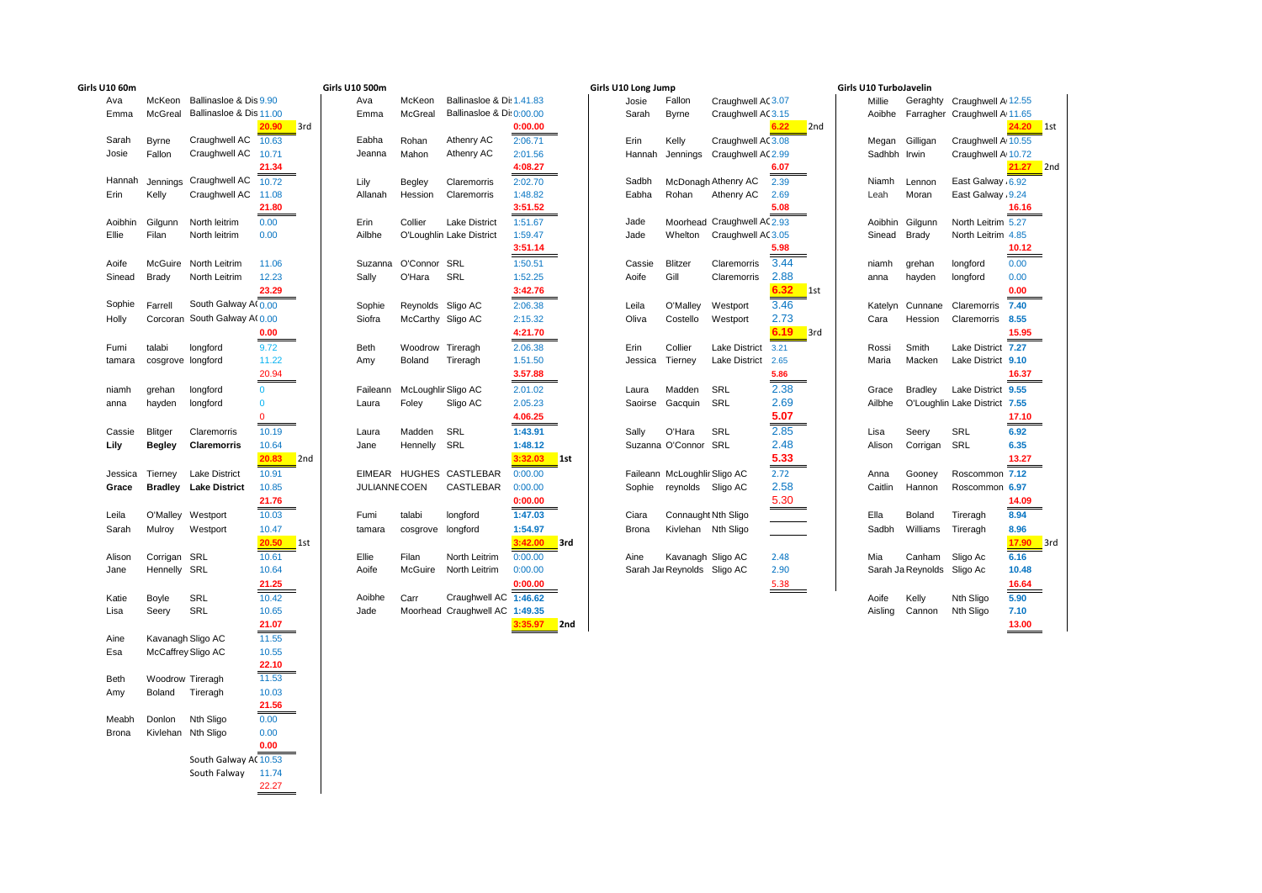| Girls U10 60m |                    |                              |                              | <b>Girls U10 500m</b> |                     |                                |                           | Girls U10 Long Jump |                              |                                           |              | Girls U10 TurboJavelin |                            |                               |               |
|---------------|--------------------|------------------------------|------------------------------|-----------------------|---------------------|--------------------------------|---------------------------|---------------------|------------------------------|-------------------------------------------|--------------|------------------------|----------------------------|-------------------------------|---------------|
| Ava           | McKeon             | Ballinasloe & Dis 9.90       |                              | Ava                   | McKeon              | Ballinasloe & Di: 1.41.83      |                           | Josie               | Fallon                       | Craughwell AC3.07                         |              | Millie                 |                            | Geraghty Craughwell A 12.55   |               |
| Emma          | McGreal            | Ballinasloe & Dis 11.00      |                              | Emma                  | McGreal             | Ballinasloe & Di: 0:00.00      |                           | Sarah               | <b>Byrne</b>                 | Craughwell AC3.15                         |              | Aoibhe                 |                            | Farragher Craughwell A 11.65  |               |
|               |                    |                              | 20.90<br>3rd                 |                       |                     |                                | 0:00.00                   |                     |                              |                                           | 6.22<br>2nd  |                        |                            |                               | 24.20 1st     |
| Sarah         | <b>Byrne</b>       | Craughwell AC                | 10.63                        | Eabha                 | Rohan               | Athenry AC                     | 2:06.71                   | Erin                | Kelly                        | Craughwell AC3.08                         |              | Megan                  | Gilligan                   | Craughwell A 10.55            |               |
| Josie         | Fallon             | Craughwell AC                | 10.71                        | Jeanna                | Mahon               | Athenry AC                     | 2:01.56                   | Hannah              | Jennings                     | Craughwell AC 2.99                        |              | Sadhbh Irwin           |                            | Craughwell A 10.72            |               |
|               |                    |                              | 21.34                        |                       |                     |                                | 4:08.27                   |                     |                              |                                           | 6.07         |                        |                            |                               | 21.27<br>2nd  |
| Hannah        | Jennings           | Craughwell AC                | 10.72                        | Lily                  | Begley              | Claremorris                    | 2:02.70                   | Sadbh               |                              | McDonagh Athenry AC                       | 2.39         | Niamh                  | Lennon                     | East Galway 6.92              |               |
| Erin          | Kelly              | Craughwell AC                | 11.08                        | Allanah               | Hession             | Claremorris                    | 1:48.82                   | Eabha               | Rohan                        | Athenry AC                                | 2.69         | Leah                   | Moran                      | East Galway 9.24              |               |
|               |                    |                              | 21.80                        |                       |                     |                                | 3:51.52                   |                     |                              |                                           | 5.08         |                        |                            |                               | 16.16         |
| Aoibhin       | Gilgunn            | North leitrim                | 0.00                         | Erin                  | Collier             | <b>Lake District</b>           | 1:51.67                   | Jade                |                              | Moorhead Craughwell AC2.93                |              | Aoibhin                | Gilgunn                    | North Leitrim 5.27            |               |
| Ellie         | Filan              | North leitrim                | 0.00                         | Ailbhe                |                     | O'Loughlin Lake District       | 1:59.47                   | Jade                | Whelton                      | Craughwell A(3.05                         |              | Sinead                 | Brady                      | North Leitrim 4.85            |               |
|               |                    |                              |                              |                       |                     |                                | 3:51.14                   |                     |                              |                                           | 5.98         |                        |                            |                               | 10.12         |
| Aoife         | McGuire            | North Leitrim                | 11.06                        | Suzanna               | O'Connor SRL        |                                | 1:50.51                   | Cassie              | Blitzer                      | Claremorris                               | 3.44         | niamh                  | grehan                     | longford                      | 0.00          |
| Sinead        | Brady              | North Leitrim                | 12.23                        | Sally                 | O'Hara              | SRL                            | 1:52.25                   | Aoife               | Gill                         | Claremorris                               | 2.88         | anna                   | hayden                     | longford                      | 0.00          |
|               |                    |                              | 23.29                        |                       |                     |                                | 3:42.76                   |                     |                              |                                           | 6.32<br>1st  |                        |                            |                               | 0.00          |
| Sophie        | Farrell            | South Galway A(0.00          |                              | Sophie                | Reynolds Sligo AC   |                                | 2:06.38                   | Leila               | O'Malley                     | Westport                                  | 3.46         | Katelvn                | Cunnane                    | Claremorris                   | 7.40          |
| Holly         |                    | Corcoran South Galway A(0.00 |                              | Siofra                | McCarthy Sligo AC   |                                | 2:15.32                   | Oliva               | Costello                     | Westport                                  | 2.73         | Cara                   | Hession                    | Claremorris                   | 8.55          |
|               |                    |                              | 0.00                         |                       |                     |                                | 4:21.70                   |                     |                              |                                           | 6.19<br>3rd  |                        |                            |                               | 15.95         |
| Fumi          | talabi             | longford                     | 9.72                         | <b>Beth</b>           | Woodrow Tireragh    |                                | 2.06.38                   | Erin                | Collier                      | <b>Lake District</b>                      | 3.21         | Rossi                  | Smith                      | Lake District 7.27            |               |
| tamara        | cosgrove longford  |                              | 11.22                        | Amy                   | Boland              | Tireragh                       | 1.51.50                   | Jessica             | Tierney                      | Lake District                             | 2.65         | Maria                  | Macken                     | Lake District 9.10            |               |
|               |                    |                              | 20.94                        |                       |                     |                                | 3.57.88                   |                     |                              |                                           | 5.86         |                        |                            |                               | 16.37         |
| niamh         | grehan             | longford                     | $\mathbf{0}$                 | Faileann              | McLoughlir Sligo AC |                                | 2.01.02                   | Laura               | Madden                       | <b>SRL</b>                                | 2.38         | Grace                  | <b>Bradley</b>             | Lake District 9.55            |               |
| anna          | hayden             | longford                     | $\mathbf{0}$                 | Laura                 | Foley               | Sligo AC                       | 2.05.23                   | Saoirse             | Gacquin                      | SRL                                       | 2.69         | Ailbhe                 |                            | O'Loughlin Lake District 7.55 |               |
|               |                    |                              | $\Omega$                     |                       |                     |                                | 4.06.25                   |                     |                              |                                           | 5.07         |                        |                            |                               | 17.10         |
| Cassie        | Blitger            | Claremorris                  | 10.19                        | Laura                 | Madden              | SRL                            | 1:43.91                   | Sally               | O'Hara                       | SRL                                       | 2.85         | Lisa                   | Seerv                      | SRL                           | 6.92          |
| Lily          | <b>Begley</b>      | <b>Claremorris</b>           | 10.64                        | Jane                  | Hennelly            | SRL                            | 1:48.12                   |                     | Suzanna O'Connor SRL         |                                           | 2.48         | Alison                 | Corrigan                   | SRL                           | 6.35          |
|               |                    |                              | 20.83 2nd                    |                       |                     |                                | $3:32.03$ 1st             |                     |                              |                                           | 5.33         |                        |                            |                               | 13.27         |
| Jessica       | Tierney            | <b>Lake District</b>         | 10.91                        |                       |                     | EIMEAR HUGHES CASTLEBAR        | 0:00.00                   |                     | Faileann McLoughlir Sligo AC |                                           | 2.72         | Anna                   | Gooney                     | Roscommon 7.12                |               |
| Grace         | <b>Bradley</b>     | <b>Lake District</b>         | 10.85                        | <b>JULIANNECOEN</b>   |                     | CASTLEBAR                      | 0:00.00                   | Sophie              | reynolds Sligo AC            |                                           | 2.58<br>5.30 | Caitlin                | Hannon                     | Roscommon 6.97                |               |
|               | O'Malley           |                              | 21.76<br>10.03               |                       | talabi              |                                | 0:00.00<br>1:47.03        | Ciara               |                              |                                           |              | Ella                   | Boland                     |                               | 14.09<br>8.94 |
| Leila         |                    | Westport                     |                              | Fumi                  |                     | longford                       |                           | <b>Brona</b>        |                              | Connaught Nth Sligo<br>Kivlehan Nth Sligo |              | Sadbh                  | Williams                   | Tireragh                      | 8.96          |
| Sarah         | Mulroy             | Westport                     | 10.47<br>20.50<br>$\sqrt{1}$ | tamara                | cosgrove longford   |                                | 1:54.97<br>3:42.00<br>3rd |                     |                              |                                           |              |                        |                            | Tireragh                      | 17.90<br>3rd  |
| Alison        | Corrigan SRL       |                              | 10.61                        | Ellie                 | Filan               | North Leitrim                  | 0:00.00                   | Aine                | Kavanagh Sligo AC            |                                           | 2.48         | Mia                    | Canham                     | Sligo Ac                      | 6.16          |
| Jane          | Hennelly SRL       |                              | 10.64                        | Aoife                 | McGuire             | North Leitrim                  | 0:00.00                   |                     | Sarah Jar Reynolds Sligo AC  |                                           | 2.90         |                        | Sarah Ja Reynolds Sligo Ac |                               | 10.48         |
|               |                    |                              | 21.25                        |                       |                     |                                | 0:00.00                   |                     |                              |                                           | 5.38         |                        |                            |                               | 16.64         |
| Katie         | Boyle              | SRL                          | 10.42                        | Aoibhe                | Carr                | Craughwell AC 1:46.62          |                           |                     |                              |                                           |              | Aoife                  | Kelly                      | Nth Sligo                     | 5.90          |
| Lisa          | Seery              | SRL                          | 10.65                        | Jade                  |                     | Moorhead Craughwell AC 1:49.35 |                           |                     |                              |                                           |              | Aisling                | Cannon                     | <b>Nth Sligo</b>              | 7.10          |
|               |                    |                              | 21.07                        |                       |                     |                                | 3:35.97<br>2nd            |                     |                              |                                           |              |                        |                            |                               | 13.00         |
| Aine          | Kavanagh Sligo AC  |                              | 11.55                        |                       |                     |                                |                           |                     |                              |                                           |              |                        |                            |                               |               |
| Esa           | McCaffrey Sligo AC |                              | 10.55                        |                       |                     |                                |                           |                     |                              |                                           |              |                        |                            |                               |               |
|               |                    |                              | 22.10                        |                       |                     |                                |                           |                     |                              |                                           |              |                        |                            |                               |               |
| <b>Beth</b>   | Woodrow Tireragh   |                              | 11.53                        |                       |                     |                                |                           |                     |                              |                                           |              |                        |                            |                               |               |

Beth Woodrow Tireragh 11.53 Amy Boland Tireragh 10.03

**0.00**<br>South Galway AC 10.53

Meabh Donlon Nth Sligo Brona Kivlehan Nth Sligo 0.00

**21.56**

 $\begin{array}{r} \n\text{4} \text{h} \n\text{h} \n\text{c} \n\end{array} \n\begin{array}{r} \n11.53 \\
\text{10.03} \\
\text{g} \n\end{array}$ <br>  $\begin{array}{r} \n\text{g} \n\text{o} \n\end{array} \n\begin{array}{r} \n0.00 \\
\text{0.00} \\
\text{Galway AC} \n\end{array} \n\end{array}$ <br>  $\begin{array}{r} \n\text{Galway AC} \n\end{array} \n\begin{array}{r} \n11.74 \\
\text{11.74} \n\end{array}$ 

22.27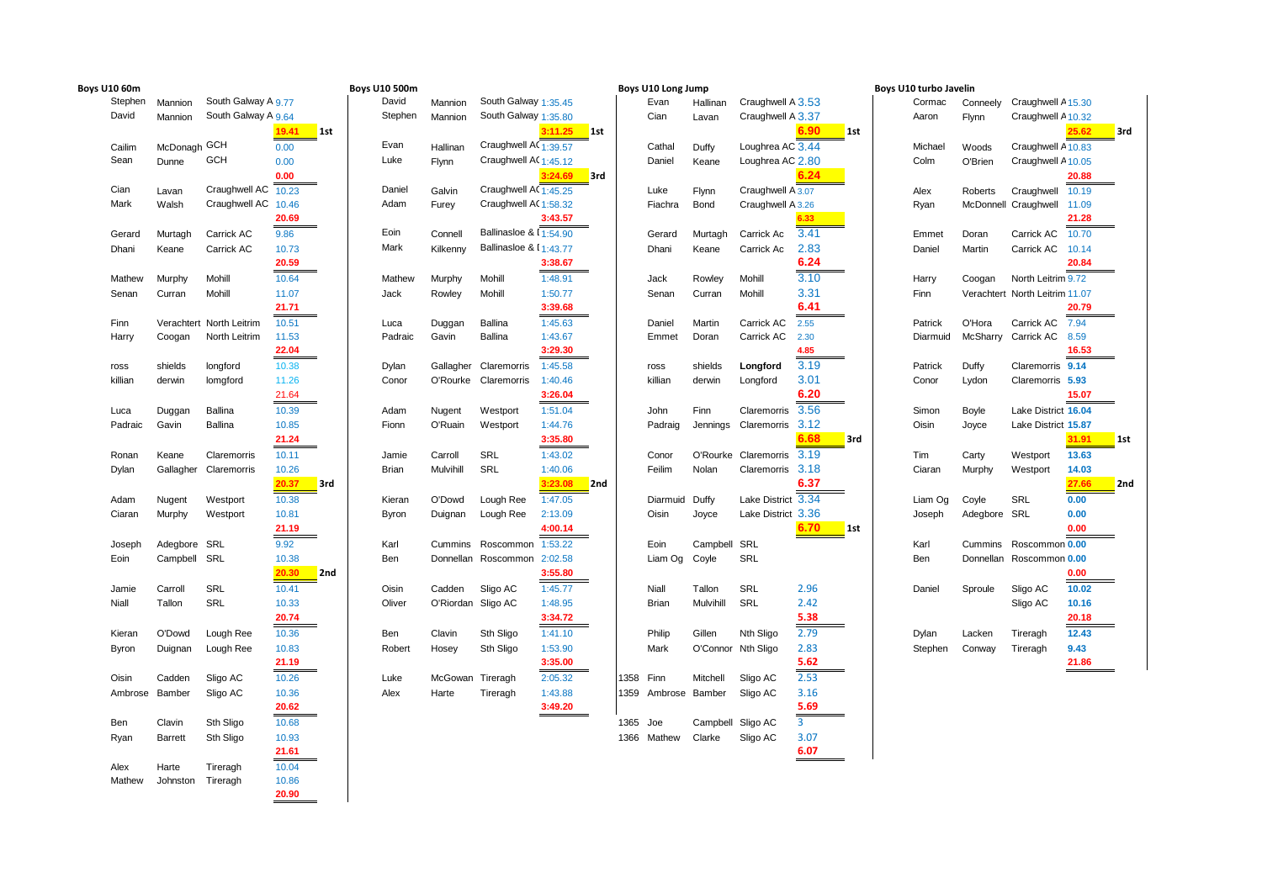| <b>Boys U10 60m</b> |                   |                          |                             | <b>Boys U10 500m</b> |                    |                                    |                |           | <b>Boys U10 Long Jump</b> |                              |                           |              | Boys U10 turbo Javelin |                 |                                |       |     |
|---------------------|-------------------|--------------------------|-----------------------------|----------------------|--------------------|------------------------------------|----------------|-----------|---------------------------|------------------------------|---------------------------|--------------|------------------------|-----------------|--------------------------------|-------|-----|
| Stephen             | Mannion           | South Galway A 9.77      |                             | David                | Mannion            | South Galway 1:35.45               |                |           | Evan                      | Hallinan                     | Craughwell A 3.53         |              | Cormac                 | Conneely        | Craughwell A 15.30             |       |     |
| David               | Mannion           | South Galway A 9.64      |                             | Stephen              | Mannion            | South Galway 1:35.80               |                |           | Cian                      | Lavan                        | Craughwell A 3.37         |              | Aaron                  | Flynn           | Craughwell A 10.32             |       |     |
|                     |                   |                          | 19.41<br>$\blacksquare$ 1st |                      |                    |                                    | $3:11.25$ 1st  |           |                           |                              |                           | 6.90<br>1st  |                        |                 |                                | 25.62 | 3rd |
| Cailim              | McDonagh GCH      |                          | 0.00                        | Evan                 | Hallinan           | Craughwell AC <sub>1:39.57</sub>   |                |           | Cathal                    | Duffy                        | Loughrea AC 3.44          |              | Michael                | Woods           | Craughwell A 10.83             |       |     |
| Sean                | Dunne             | <b>GCH</b>               | 0.00                        | Luke                 | Flynn              | Craughwell A(1:45.12               |                |           | Daniel                    | Keane                        | Loughrea AC 2.80          |              | Colm                   | O'Brien         | Craughwell A 10.05             |       |     |
|                     |                   |                          | 0.00                        |                      |                    |                                    | $3:24.69$ 3rd  |           |                           |                              |                           | 6.24         |                        |                 |                                | 20.88 |     |
| Cian                | Lavan             | Craughwell AC 10.23      |                             | Daniel               | Galvin             | Craughwell AC 1:45.25              |                |           | Luke                      | Flynn                        | Craughwell A 3.07         |              | Alex                   | Roberts         | Craughwell                     | 10.19 |     |
| Mark                | Walsh             | Craughwell AC 10.46      |                             | Adam                 | Furey              | Craughwell AC 1:58.32              |                |           | Fiachra                   | Bond                         | Craughwell A 3.26         |              | Ryan                   |                 | McDonnell Craughwell           | 11.09 |     |
|                     |                   |                          | 20.69                       |                      |                    |                                    | 3:43.57        |           |                           |                              |                           | 6.33         |                        |                 |                                | 21.28 |     |
| Gerard              | Murtagh           | Carrick AC               | 9.86                        | Eoin                 | Connell            | Ballinasloe & 1 <sub>1:54.90</sub> |                |           | Gerard                    | Murtagh                      | Carrick Ac                | 3.41         | Emmet                  | Doran           | Carrick AC                     | 10.70 |     |
| Dhani               | Keane             | Carrick AC               | 10.73                       | Mark                 | Kilkenny           | Ballinasloe & I <sub>1:43.77</sub> |                |           | Dhani                     | Keane                        | Carrick Ac                | 2.83         | Daniel                 | Martin          | Carrick AC                     | 10.14 |     |
|                     |                   |                          | 20.59                       |                      |                    |                                    | 3:38.67        |           |                           |                              |                           | 6.24         |                        |                 |                                | 20.84 |     |
| Mathew              | Murphy            | Mohill                   | 10.64                       | Mathew               | Murphy             | Mohill                             | 1:48.91        |           | Jack                      | Rowley                       | Mohill                    | 3.10         | Harry                  | Coogan          | North Leitrim 9.72             |       |     |
| Senan               | Curran            | Mohill                   | 11.07                       | Jack                 | Rowley             | Mohill                             | 1:50.77        |           | Senan                     | Curran                       | Mohill                    | 3.31         | Finn                   |                 | Verachtert North Leitrim 11.07 |       |     |
|                     |                   |                          | 21.71                       |                      |                    |                                    | 3:39.68        |           |                           |                              |                           | 6.41         |                        |                 |                                | 20.79 |     |
| Finn                |                   | Verachtert North Leitrim | 10.51                       | Luca                 | Duggan             | Ballina                            | 1:45.63        |           | Daniel                    | Martin                       | Carrick AC                | 2.55         | Patrick                | O'Hora          | Carrick AC                     | 7.94  |     |
| Harry               | Coogan            | North Leitrim            | 11.53                       | Padraic              | Gavin              | <b>Ballina</b>                     | 1:43.67        |           | Emmet                     | Doran                        | Carrick AC                | 2.30         | Diarmuid               | <b>McSharry</b> | Carrick AC                     | 8.59  |     |
|                     |                   |                          | 22.04                       |                      |                    |                                    | 3:29.30        |           |                           |                              |                           | 4.85         |                        |                 |                                | 16.53 |     |
| ross                | shields           | longford                 | 10.38                       | Dylan                |                    | Gallagher Claremorris              | 1:45.58        |           | ross                      | shields                      | Longford                  | 3.19         | Patrick                | Duffy           | Claremorris 9.14               |       |     |
| killian             | derwin            | lomgford                 | 11.26                       | Conor                |                    | O'Rourke Claremorris               | 1:40.46        |           | killian                   | derwin                       | Longford                  | 3.01         | Conor                  | Lydon           | Claremorris 5.93               |       |     |
|                     |                   |                          | 21.64                       |                      |                    |                                    | 3:26.04        |           |                           |                              |                           | 6.20         |                        |                 |                                | 15.07 |     |
| Luca                | Duggan            | <b>Ballina</b>           | 10.39                       | Adam                 | Nugent             | Westport                           | 1:51.04        |           | John                      | Finn                         | Claremorris               | 3.56         | Simon                  | <b>Boyle</b>    | Lake District 16.04            |       |     |
| Padraic             | Gavin             | Ballina                  | 10.85                       | Fionn                | O'Ruain            | Westport                           | 1:44.76        |           | Padraig                   | Jennings                     | Claremorris 3.12          |              | Oisin                  | Joyce           | Lake District 15.87            |       |     |
|                     |                   |                          | 21.24                       |                      |                    |                                    | 3:35.80        |           |                           |                              |                           | 6.68<br>3rd  |                        |                 |                                | 31.91 | 1st |
| Ronan               | Keane             | Claremorris              | 10.11                       | Jamie                | Carroll            | SRL                                | 1:43.02        |           | Conor                     |                              | O'Rourke Claremorris 3.19 |              | Tim                    | Carty           | Westport                       | 13.63 |     |
| Dylan               |                   | Gallagher Claremorris    | 10.26                       | Brian                | Mulvihill          | SRL                                | 1:40.06        |           | Feilim                    | Nolan                        | Claremorris 3.18          |              | Ciaran                 | Murphy          | Westport                       | 14.03 |     |
|                     |                   |                          | 20.37<br>3rd                |                      |                    |                                    | 3:23.08<br>2nd |           |                           |                              |                           | 6.37         |                        |                 |                                | 27.66 | 2nd |
| Adam                | Nugent            | Westport                 | 10.38                       | Kieran               | O'Dowd             | Lough Ree                          | 1:47.05        |           | Diarmuid                  | Duffy                        | Lake District 3.34        |              | Liam Og                | Coyle           | SRL                            | 0.00  |     |
| Ciaran              | Murphy            | Westport                 | 10.81                       | <b>Byron</b>         | Duignan            | Lough Ree                          | 2:13.09        |           | Oisin                     | Joyce                        | Lake District 3.36        |              | Joseph                 | Adegbore SRL    |                                | 0.00  |     |
|                     |                   |                          | 21.19                       |                      |                    |                                    | 4:00.14        |           |                           |                              |                           | $6.70$ 1st   |                        |                 |                                | 0.00  |     |
| Joseph              | Adegbore SRL      |                          | 9.92                        | Karl                 | Cummins            | Roscommon 1:53.22                  |                |           | Eoin                      | Campbell                     | SRL                       |              | Karl                   |                 | Cummins Roscommon 0.00         |       |     |
| Eoin                | Campbell SRL      |                          | 10.38                       | Ben                  |                    | Donnellan Roscommon 2:02.58        |                |           | Liam Og                   | Coyle                        | SRL                       |              | Ben                    |                 | Donnellan Roscommon 0.00       |       |     |
|                     |                   |                          | 20.30<br>2nd                |                      |                    |                                    | 3:55.80        |           |                           |                              |                           |              |                        |                 |                                | 0.00  |     |
| Jamie               | Carroll           | SRL                      | 10.41                       | Oisin                | Cadden             | Sligo AC                           | 1:45.77        |           | Niall                     | Tallon                       | SRL                       | 2.96         | Daniel                 | Sproule         | Sligo AC                       | 10.02 |     |
| Niall               | Tallon            | SRL                      | 10.33                       | Oliver               | O'Riordan Sligo AC |                                    | 1:48.95        |           | Brian                     | Mulvihill                    | SRL                       | 2.42         |                        |                 | Sligo AC                       | 10.16 |     |
|                     |                   |                          | 20.74                       |                      |                    |                                    | 3:34.72        |           |                           |                              |                           | 5.38         |                        |                 |                                | 20.18 |     |
| Kieran              | O'Dowd            | Lough Ree                | 10.36                       | Ben                  | Clavin             | Sth Sligo                          | 1:41.10        |           | Philip                    | Gillen                       | Nth Sligo                 | 2.79         | Dylan                  | Lacken          | Tireragh                       | 12.43 |     |
| Byron               | Duignan           | Lough Ree                | 10.83                       | Robert               | Hosey              | Sth Sligo                          | 1:53.90        |           | Mark                      |                              | O'Connor Nth Sligo        | 2.83         | Stephen                | Conway          | Tireragh                       | 9.43  |     |
|                     |                   |                          | 21.19                       |                      |                    |                                    | 3:35.00        |           |                           |                              |                           | 5.62         |                        |                 |                                | 21.86 |     |
| Oisin               | Cadden            | Sligo AC                 | 10.26                       | Luke                 | McGowan Tireragh   |                                    | 2:05.32        | 1358 Finn |                           | Mitchell                     | Sligo AC                  | 2.53         |                        |                 |                                |       |     |
|                     | Ambrose Bamber    | Sligo AC                 | 10.36                       | Alex                 | Harte              | Tireragh                           | 1:43.88        |           |                           | 1359 Ambrose Bamber Sligo AC |                           | 3.16         |                        |                 |                                |       |     |
|                     |                   |                          | 20.62                       |                      |                    |                                    | 3:49.20        |           |                           |                              |                           | 5.69         |                        |                 |                                |       |     |
| Ben                 | Clavin            | Sth Sligo                | 10.68                       |                      |                    |                                    |                | 1365 Joe  |                           | Campbell Sligo AC            |                           | $\mathbf{3}$ |                        |                 |                                |       |     |
| Ryan                | Barrett           | Sth Sligo                | 10.93                       |                      |                    |                                    |                |           | 1366 Mathew Clarke        |                              | Sligo AC                  | 3.07         |                        |                 |                                |       |     |
|                     |                   |                          | 21.61                       |                      |                    |                                    |                |           |                           |                              |                           | 6.07         |                        |                 |                                |       |     |
| Alex                | Harte             | Tireragh                 | 10.04                       |                      |                    |                                    |                |           |                           |                              |                           |              |                        |                 |                                |       |     |
| Mathew              | Johnston Tireragh |                          | 10.86                       |                      |                    |                                    |                |           |                           |                              |                           |              |                        |                 |                                |       |     |
|                     |                   |                          | 20.90                       |                      |                    |                                    |                |           |                           |                              |                           |              |                        |                 |                                |       |     |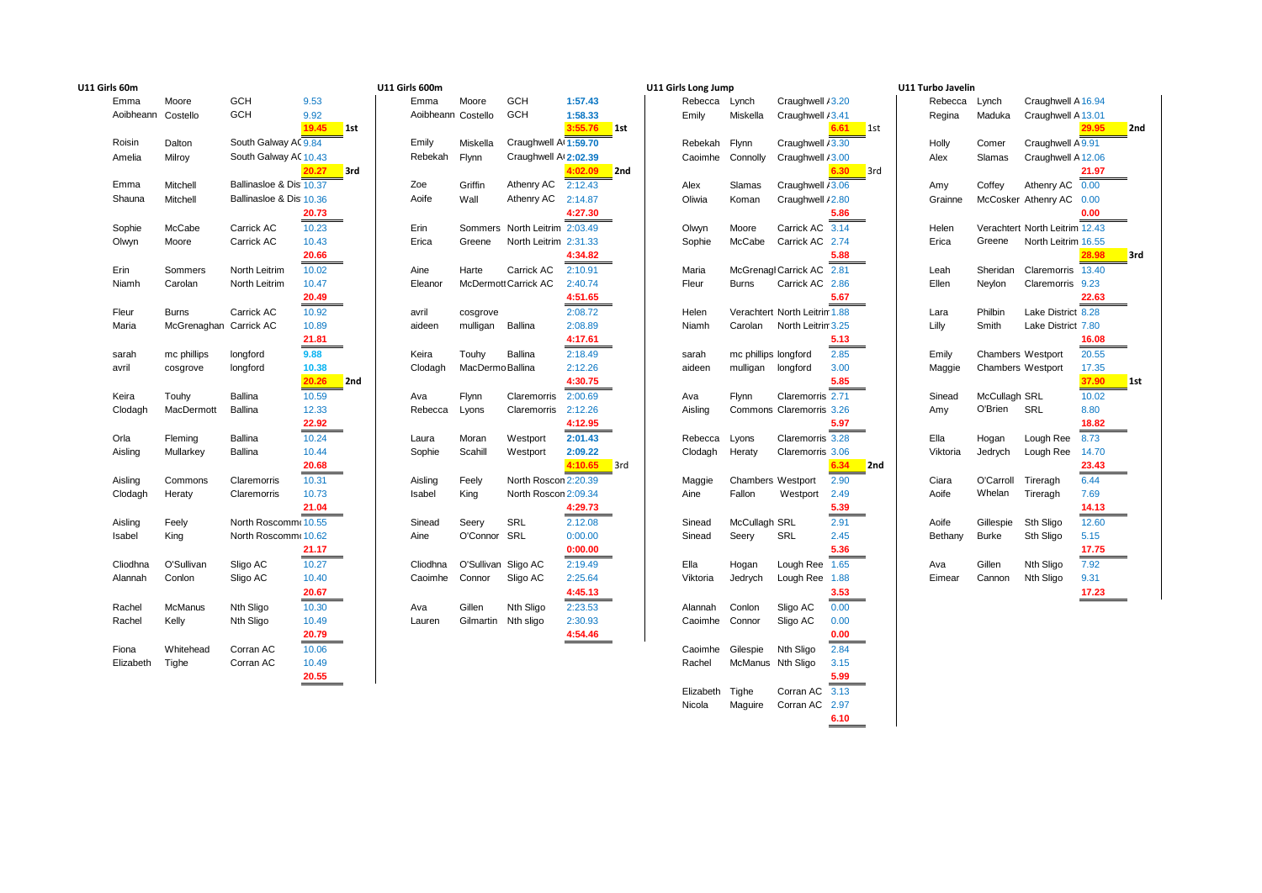| U11 Girls 600m<br>U11 Girls Long Jump<br>U11 Turbo Javelin<br><b>GCH</b><br><b>GCH</b><br>9.53<br>Emma<br>Moore<br>1:57.43<br>Moore<br>Craughwell / 3.20<br>Rebecca<br>Lynch<br>Craughwell A 16.94<br>Rebecca Lynch<br><b>GCH</b><br><b>GCH</b><br>Costello<br>9.92<br>Aoibheann Costello<br>1:58.33<br>Emily<br>Miskella<br>Craughwell / 3.41<br>Regina<br>Maduka<br>Craughwell A 13.01<br>19.45<br>$3:55.76$ 1st<br>$\sqrt{1}$ st<br>6.61<br>1st<br>29.95<br>2nd<br>South Galway AC 9.84<br>Emily<br>Craughwell A(1:59.70<br>Craughwell A 9.91<br>Dalton<br>Miskella<br>Rebekah Flynn<br>Craughwell / 3.30<br>Holly<br>Comer<br>South Galway AC 10.43<br>Craughwell A(2:02.39<br>Rebekah<br>Flynn<br>Craughwell A 12.06<br>Milroy<br>Caoimhe Connolly<br>Craughwell / 3.00<br>Alex<br>Slamas<br>4:02.09<br>21.97<br>20.27<br>2nd<br>6.30<br>3rd<br><b>Brd</b><br>Ballinasloe & Dist 10.37<br>Athenry AC<br>Zoe<br>2:12.43<br>Craughwell / 3.06<br>Athenry AC<br>Mitchell<br>Griffin<br>Coffey<br>0.00<br>Alex<br>Slamas<br>Amy<br>Ballinasloe & Dist 10.36<br>Aoife<br>Athenry AC 2:14.87<br>Wall<br>Mitchell<br>Oliwia<br>Koman<br>Craughwell / 2.80<br>Grainne<br>McCosker Athenry AC<br>0.00<br>4:27.30<br>20.73<br>5.86<br>0.00<br>Carrick AC 3.14<br>10.23<br>Sommers North Leitrim 2:03.49<br>Verachtert North Leitrim 12.43<br>McCabe<br>Carrick AC<br>Erin<br>Olwyn<br>Moore<br>Helen<br>McCabe<br>Greene<br>Carrick AC<br>10.43<br>North Leitrim 2:31.33<br>Sophie<br>Carrick AC 2.74<br>North Leitrim 16.55<br>Moore<br>Erica<br>Greene<br>Erica<br>20.66<br>4:34.82<br>5.88<br>28.98<br>3rd<br>10.02<br>2:10.91<br>McGrenagl Carrick AC 2.81<br>Harte<br>Carrick AC<br>Maria<br>Sheridan<br>Claremorris 13.40<br>Sommers<br>North Leitrim<br>Aine<br>Leah<br>2:40.74<br>Carrick AC 2.86<br>North Leitrim<br>10.47<br><b>McDermott Carrick AC</b><br><b>Burns</b><br>Ellen<br>Claremorris 9.23<br>Carolan<br>Eleanor<br>Fleur<br>Neylon<br>20.49<br>4:51.65<br>22.63<br>5.67<br>2:08.72<br>Lake District 8.28<br><b>Burns</b><br>Carrick AC<br>10.92<br>Helen<br>Verachtert North Leitrin 1.88<br>Philbin<br>avril<br>cosgrove<br>Lara<br>Lilly<br>McGrenaghan Carrick AC<br>10.89<br>aideen<br>mulligan<br>Ballina<br>2:08.89<br>Niamh<br>Carolan<br>North Leitrin 3.25<br>Smith<br>Lake District 7.80<br>4:17.61<br>5.13<br>16.08<br>21.81<br>9.88<br>Touhy<br>Ballina<br>2:18.49<br>2.85<br>20.55<br>mc phillips<br>longford<br>Keira<br>mc phillips longford<br>Emily<br><b>Chambers Westport</b><br>sarah<br>10.38<br>Clodagh<br>MacDermo Ballina<br>2:12.26<br>mulligan longford<br>3.00<br><b>Chambers Westport</b><br>17.35<br>longford<br>aideen<br>Maggie<br>cosgrove<br>20.26<br>4:30.75<br>37.90<br>2nd<br>5.85<br>1st<br>10.59<br>Flynn<br>2:00.69<br>10.02<br><b>Ballina</b><br>Claremorris<br>Flynn<br>Claremorris 2.71<br>Sinead<br>McCullagh SRL<br>Touhy<br>Ava<br>Ava<br>O'Brien<br>SRL<br>12.33<br>Claremorris 2:12.26<br>Commons Claremorris 3.26<br>8.80<br>MacDermott<br>Ballina<br>Rebecca<br>Lyons<br>Aisling<br>Amy<br>22.92<br>4:12.95<br>5.97<br>18.82<br>10.24<br>2:01.43<br>Ballina<br>Claremorris 3.28<br>Ella<br>Fleming<br>Moran<br>Westport<br>Rebecca Lyons<br>Hogan<br>Lough Ree<br>8.73<br>Laura<br><b>Ballina</b><br>10.44<br>Scahill<br>2:09.22<br>Clodagh<br>Lough Ree<br>14.70<br>Mullarkey<br>Sophie<br>Westport<br>Heraty<br>Claremorris 3.06<br>Viktoria<br>Jedrych<br>$4:10.65$ 3rd<br>6.34<br>23.43<br>20.68<br>2nd<br>10.31<br>2.90<br>6.44<br>Feely<br>North Roscon 2:20.39<br>Chambers Westport<br>O'Carroll<br>Commons<br>Claremorris<br>Aisling<br>Maggie<br>Ciara<br>Tireragh<br>10.73<br>King<br>North Roscon 2:09.34<br>2.49<br>Whelan<br>Tireragh<br>7.69<br>Heraty<br>Claremorris<br>Aine<br>Fallon<br>Westport<br>Aoife<br>Isabel<br>14.13<br>21.04<br>4:29.73<br>5.39<br>SRL<br>2.91<br>North Roscomm (10.55<br>Seery<br>2.12.08<br>McCullagh SRL<br>Sth Sligo<br>Feely<br>Sinead<br>Aoife<br>Gillespie<br>12.60<br>Sinead<br>O'Connor SRL<br>SRL<br>North Roscomm (10.62<br>0:00.00<br>Sth Sligo<br>5.15<br>King<br>Sinead<br>Seery<br>2.45<br>Bethany<br><b>Burke</b><br>Aine<br>0:00.00<br>5.36<br>17.75<br>21.17<br>O'Sullivan<br>10.27<br>O'Sullivan Sligo AC<br>2:19.49<br>Gillen<br>Nth Sligo<br>7.92<br>Sligo AC<br>Cliodhna<br>Ella<br>Hogan<br>Lough Ree 1.65<br>Ava<br>Conlon<br>Sligo AC<br>10.40<br>Connor<br>Sligo AC<br>2:25.64<br>Viktoria<br>Lough Ree 1.88<br>Nth Sligo<br>9.31<br>Caoimhe<br>Jedrych<br>Eimear<br>Cannon<br>4:45.13<br>3.53<br>20.67<br>17.23<br>Nth Sligo<br>2:23.53<br>Sligo AC<br>0.00<br>McManus<br>Nth Sligo<br>10.30<br>Gillen<br>Ava<br>Alannah<br>Conlon<br>2:30.93<br>Sligo AC<br>0.00<br>Kelly<br>Nth Sligo<br>10.49<br>Gilmartin Nth sligo<br>Caoimhe Connor<br>Lauren<br>20.79<br>4:54.46<br>0.00<br>10.06<br>Nth Sligo<br>2.84<br>Whitehead<br>Corran AC<br>Caoimhe<br>Gilespie<br>Corran AC<br>10.49<br>McManus Nth Sligo<br>3.15<br>Tighe<br>Rachel<br>20.55<br>5.99 |                |  |  |  |  |                |  |  |  |
|----------------------------------------------------------------------------------------------------------------------------------------------------------------------------------------------------------------------------------------------------------------------------------------------------------------------------------------------------------------------------------------------------------------------------------------------------------------------------------------------------------------------------------------------------------------------------------------------------------------------------------------------------------------------------------------------------------------------------------------------------------------------------------------------------------------------------------------------------------------------------------------------------------------------------------------------------------------------------------------------------------------------------------------------------------------------------------------------------------------------------------------------------------------------------------------------------------------------------------------------------------------------------------------------------------------------------------------------------------------------------------------------------------------------------------------------------------------------------------------------------------------------------------------------------------------------------------------------------------------------------------------------------------------------------------------------------------------------------------------------------------------------------------------------------------------------------------------------------------------------------------------------------------------------------------------------------------------------------------------------------------------------------------------------------------------------------------------------------------------------------------------------------------------------------------------------------------------------------------------------------------------------------------------------------------------------------------------------------------------------------------------------------------------------------------------------------------------------------------------------------------------------------------------------------------------------------------------------------------------------------------------------------------------------------------------------------------------------------------------------------------------------------------------------------------------------------------------------------------------------------------------------------------------------------------------------------------------------------------------------------------------------------------------------------------------------------------------------------------------------------------------------------------------------------------------------------------------------------------------------------------------------------------------------------------------------------------------------------------------------------------------------------------------------------------------------------------------------------------------------------------------------------------------------------------------------------------------------------------------------------------------------------------------------------------------------------------------------------------------------------------------------------------------------------------------------------------------------------------------------------------------------------------------------------------------------------------------------------------------------------------------------------------------------------------------------------------------------------------------------------------------------------------------------------------------------------------------------------------------------------------------------------------------------------------------------------------------------------------------------------------------------------------------------------------------------------------------------------------------------------------------------------------------------------------------------------------------------------------------------------------------------------------------------------------------------------------------------------------------------------------------------------------------------------------------------------------------------------------------------------------------------------------------------------------------------------------------------------------------------|----------------|--|--|--|--|----------------|--|--|--|
|                                                                                                                                                                                                                                                                                                                                                                                                                                                                                                                                                                                                                                                                                                                                                                                                                                                                                                                                                                                                                                                                                                                                                                                                                                                                                                                                                                                                                                                                                                                                                                                                                                                                                                                                                                                                                                                                                                                                                                                                                                                                                                                                                                                                                                                                                                                                                                                                                                                                                                                                                                                                                                                                                                                                                                                                                                                                                                                                                                                                                                                                                                                                                                                                                                                                                                                                                                                                                                                                                                                                                                                                                                                                                                                                                                                                                                                                                                                                                                                                                                                                                                                                                                                                                                                                                                                                                                                                                                                                                                                                                                                                                                                                                                                                                                                                                                                                                                                                                                                              |                |  |  |  |  |                |  |  |  |
|                                                                                                                                                                                                                                                                                                                                                                                                                                                                                                                                                                                                                                                                                                                                                                                                                                                                                                                                                                                                                                                                                                                                                                                                                                                                                                                                                                                                                                                                                                                                                                                                                                                                                                                                                                                                                                                                                                                                                                                                                                                                                                                                                                                                                                                                                                                                                                                                                                                                                                                                                                                                                                                                                                                                                                                                                                                                                                                                                                                                                                                                                                                                                                                                                                                                                                                                                                                                                                                                                                                                                                                                                                                                                                                                                                                                                                                                                                                                                                                                                                                                                                                                                                                                                                                                                                                                                                                                                                                                                                                                                                                                                                                                                                                                                                                                                                                                                                                                                                                              |                |  |  |  |  |                |  |  |  |
|                                                                                                                                                                                                                                                                                                                                                                                                                                                                                                                                                                                                                                                                                                                                                                                                                                                                                                                                                                                                                                                                                                                                                                                                                                                                                                                                                                                                                                                                                                                                                                                                                                                                                                                                                                                                                                                                                                                                                                                                                                                                                                                                                                                                                                                                                                                                                                                                                                                                                                                                                                                                                                                                                                                                                                                                                                                                                                                                                                                                                                                                                                                                                                                                                                                                                                                                                                                                                                                                                                                                                                                                                                                                                                                                                                                                                                                                                                                                                                                                                                                                                                                                                                                                                                                                                                                                                                                                                                                                                                                                                                                                                                                                                                                                                                                                                                                                                                                                                                                              |                |  |  |  |  |                |  |  |  |
|                                                                                                                                                                                                                                                                                                                                                                                                                                                                                                                                                                                                                                                                                                                                                                                                                                                                                                                                                                                                                                                                                                                                                                                                                                                                                                                                                                                                                                                                                                                                                                                                                                                                                                                                                                                                                                                                                                                                                                                                                                                                                                                                                                                                                                                                                                                                                                                                                                                                                                                                                                                                                                                                                                                                                                                                                                                                                                                                                                                                                                                                                                                                                                                                                                                                                                                                                                                                                                                                                                                                                                                                                                                                                                                                                                                                                                                                                                                                                                                                                                                                                                                                                                                                                                                                                                                                                                                                                                                                                                                                                                                                                                                                                                                                                                                                                                                                                                                                                                                              | Girls 60m      |  |  |  |  |                |  |  |  |
|                                                                                                                                                                                                                                                                                                                                                                                                                                                                                                                                                                                                                                                                                                                                                                                                                                                                                                                                                                                                                                                                                                                                                                                                                                                                                                                                                                                                                                                                                                                                                                                                                                                                                                                                                                                                                                                                                                                                                                                                                                                                                                                                                                                                                                                                                                                                                                                                                                                                                                                                                                                                                                                                                                                                                                                                                                                                                                                                                                                                                                                                                                                                                                                                                                                                                                                                                                                                                                                                                                                                                                                                                                                                                                                                                                                                                                                                                                                                                                                                                                                                                                                                                                                                                                                                                                                                                                                                                                                                                                                                                                                                                                                                                                                                                                                                                                                                                                                                                                                              | Emma           |  |  |  |  |                |  |  |  |
|                                                                                                                                                                                                                                                                                                                                                                                                                                                                                                                                                                                                                                                                                                                                                                                                                                                                                                                                                                                                                                                                                                                                                                                                                                                                                                                                                                                                                                                                                                                                                                                                                                                                                                                                                                                                                                                                                                                                                                                                                                                                                                                                                                                                                                                                                                                                                                                                                                                                                                                                                                                                                                                                                                                                                                                                                                                                                                                                                                                                                                                                                                                                                                                                                                                                                                                                                                                                                                                                                                                                                                                                                                                                                                                                                                                                                                                                                                                                                                                                                                                                                                                                                                                                                                                                                                                                                                                                                                                                                                                                                                                                                                                                                                                                                                                                                                                                                                                                                                                              | Aoibheann      |  |  |  |  |                |  |  |  |
|                                                                                                                                                                                                                                                                                                                                                                                                                                                                                                                                                                                                                                                                                                                                                                                                                                                                                                                                                                                                                                                                                                                                                                                                                                                                                                                                                                                                                                                                                                                                                                                                                                                                                                                                                                                                                                                                                                                                                                                                                                                                                                                                                                                                                                                                                                                                                                                                                                                                                                                                                                                                                                                                                                                                                                                                                                                                                                                                                                                                                                                                                                                                                                                                                                                                                                                                                                                                                                                                                                                                                                                                                                                                                                                                                                                                                                                                                                                                                                                                                                                                                                                                                                                                                                                                                                                                                                                                                                                                                                                                                                                                                                                                                                                                                                                                                                                                                                                                                                                              |                |  |  |  |  |                |  |  |  |
|                                                                                                                                                                                                                                                                                                                                                                                                                                                                                                                                                                                                                                                                                                                                                                                                                                                                                                                                                                                                                                                                                                                                                                                                                                                                                                                                                                                                                                                                                                                                                                                                                                                                                                                                                                                                                                                                                                                                                                                                                                                                                                                                                                                                                                                                                                                                                                                                                                                                                                                                                                                                                                                                                                                                                                                                                                                                                                                                                                                                                                                                                                                                                                                                                                                                                                                                                                                                                                                                                                                                                                                                                                                                                                                                                                                                                                                                                                                                                                                                                                                                                                                                                                                                                                                                                                                                                                                                                                                                                                                                                                                                                                                                                                                                                                                                                                                                                                                                                                                              | Roisin         |  |  |  |  |                |  |  |  |
|                                                                                                                                                                                                                                                                                                                                                                                                                                                                                                                                                                                                                                                                                                                                                                                                                                                                                                                                                                                                                                                                                                                                                                                                                                                                                                                                                                                                                                                                                                                                                                                                                                                                                                                                                                                                                                                                                                                                                                                                                                                                                                                                                                                                                                                                                                                                                                                                                                                                                                                                                                                                                                                                                                                                                                                                                                                                                                                                                                                                                                                                                                                                                                                                                                                                                                                                                                                                                                                                                                                                                                                                                                                                                                                                                                                                                                                                                                                                                                                                                                                                                                                                                                                                                                                                                                                                                                                                                                                                                                                                                                                                                                                                                                                                                                                                                                                                                                                                                                                              | Amelia         |  |  |  |  |                |  |  |  |
|                                                                                                                                                                                                                                                                                                                                                                                                                                                                                                                                                                                                                                                                                                                                                                                                                                                                                                                                                                                                                                                                                                                                                                                                                                                                                                                                                                                                                                                                                                                                                                                                                                                                                                                                                                                                                                                                                                                                                                                                                                                                                                                                                                                                                                                                                                                                                                                                                                                                                                                                                                                                                                                                                                                                                                                                                                                                                                                                                                                                                                                                                                                                                                                                                                                                                                                                                                                                                                                                                                                                                                                                                                                                                                                                                                                                                                                                                                                                                                                                                                                                                                                                                                                                                                                                                                                                                                                                                                                                                                                                                                                                                                                                                                                                                                                                                                                                                                                                                                                              |                |  |  |  |  |                |  |  |  |
|                                                                                                                                                                                                                                                                                                                                                                                                                                                                                                                                                                                                                                                                                                                                                                                                                                                                                                                                                                                                                                                                                                                                                                                                                                                                                                                                                                                                                                                                                                                                                                                                                                                                                                                                                                                                                                                                                                                                                                                                                                                                                                                                                                                                                                                                                                                                                                                                                                                                                                                                                                                                                                                                                                                                                                                                                                                                                                                                                                                                                                                                                                                                                                                                                                                                                                                                                                                                                                                                                                                                                                                                                                                                                                                                                                                                                                                                                                                                                                                                                                                                                                                                                                                                                                                                                                                                                                                                                                                                                                                                                                                                                                                                                                                                                                                                                                                                                                                                                                                              | Emma           |  |  |  |  |                |  |  |  |
|                                                                                                                                                                                                                                                                                                                                                                                                                                                                                                                                                                                                                                                                                                                                                                                                                                                                                                                                                                                                                                                                                                                                                                                                                                                                                                                                                                                                                                                                                                                                                                                                                                                                                                                                                                                                                                                                                                                                                                                                                                                                                                                                                                                                                                                                                                                                                                                                                                                                                                                                                                                                                                                                                                                                                                                                                                                                                                                                                                                                                                                                                                                                                                                                                                                                                                                                                                                                                                                                                                                                                                                                                                                                                                                                                                                                                                                                                                                                                                                                                                                                                                                                                                                                                                                                                                                                                                                                                                                                                                                                                                                                                                                                                                                                                                                                                                                                                                                                                                                              | Shauna         |  |  |  |  |                |  |  |  |
|                                                                                                                                                                                                                                                                                                                                                                                                                                                                                                                                                                                                                                                                                                                                                                                                                                                                                                                                                                                                                                                                                                                                                                                                                                                                                                                                                                                                                                                                                                                                                                                                                                                                                                                                                                                                                                                                                                                                                                                                                                                                                                                                                                                                                                                                                                                                                                                                                                                                                                                                                                                                                                                                                                                                                                                                                                                                                                                                                                                                                                                                                                                                                                                                                                                                                                                                                                                                                                                                                                                                                                                                                                                                                                                                                                                                                                                                                                                                                                                                                                                                                                                                                                                                                                                                                                                                                                                                                                                                                                                                                                                                                                                                                                                                                                                                                                                                                                                                                                                              |                |  |  |  |  |                |  |  |  |
|                                                                                                                                                                                                                                                                                                                                                                                                                                                                                                                                                                                                                                                                                                                                                                                                                                                                                                                                                                                                                                                                                                                                                                                                                                                                                                                                                                                                                                                                                                                                                                                                                                                                                                                                                                                                                                                                                                                                                                                                                                                                                                                                                                                                                                                                                                                                                                                                                                                                                                                                                                                                                                                                                                                                                                                                                                                                                                                                                                                                                                                                                                                                                                                                                                                                                                                                                                                                                                                                                                                                                                                                                                                                                                                                                                                                                                                                                                                                                                                                                                                                                                                                                                                                                                                                                                                                                                                                                                                                                                                                                                                                                                                                                                                                                                                                                                                                                                                                                                                              | Sophie         |  |  |  |  |                |  |  |  |
|                                                                                                                                                                                                                                                                                                                                                                                                                                                                                                                                                                                                                                                                                                                                                                                                                                                                                                                                                                                                                                                                                                                                                                                                                                                                                                                                                                                                                                                                                                                                                                                                                                                                                                                                                                                                                                                                                                                                                                                                                                                                                                                                                                                                                                                                                                                                                                                                                                                                                                                                                                                                                                                                                                                                                                                                                                                                                                                                                                                                                                                                                                                                                                                                                                                                                                                                                                                                                                                                                                                                                                                                                                                                                                                                                                                                                                                                                                                                                                                                                                                                                                                                                                                                                                                                                                                                                                                                                                                                                                                                                                                                                                                                                                                                                                                                                                                                                                                                                                                              | Olwyn          |  |  |  |  |                |  |  |  |
|                                                                                                                                                                                                                                                                                                                                                                                                                                                                                                                                                                                                                                                                                                                                                                                                                                                                                                                                                                                                                                                                                                                                                                                                                                                                                                                                                                                                                                                                                                                                                                                                                                                                                                                                                                                                                                                                                                                                                                                                                                                                                                                                                                                                                                                                                                                                                                                                                                                                                                                                                                                                                                                                                                                                                                                                                                                                                                                                                                                                                                                                                                                                                                                                                                                                                                                                                                                                                                                                                                                                                                                                                                                                                                                                                                                                                                                                                                                                                                                                                                                                                                                                                                                                                                                                                                                                                                                                                                                                                                                                                                                                                                                                                                                                                                                                                                                                                                                                                                                              |                |  |  |  |  |                |  |  |  |
|                                                                                                                                                                                                                                                                                                                                                                                                                                                                                                                                                                                                                                                                                                                                                                                                                                                                                                                                                                                                                                                                                                                                                                                                                                                                                                                                                                                                                                                                                                                                                                                                                                                                                                                                                                                                                                                                                                                                                                                                                                                                                                                                                                                                                                                                                                                                                                                                                                                                                                                                                                                                                                                                                                                                                                                                                                                                                                                                                                                                                                                                                                                                                                                                                                                                                                                                                                                                                                                                                                                                                                                                                                                                                                                                                                                                                                                                                                                                                                                                                                                                                                                                                                                                                                                                                                                                                                                                                                                                                                                                                                                                                                                                                                                                                                                                                                                                                                                                                                                              | Erin           |  |  |  |  |                |  |  |  |
|                                                                                                                                                                                                                                                                                                                                                                                                                                                                                                                                                                                                                                                                                                                                                                                                                                                                                                                                                                                                                                                                                                                                                                                                                                                                                                                                                                                                                                                                                                                                                                                                                                                                                                                                                                                                                                                                                                                                                                                                                                                                                                                                                                                                                                                                                                                                                                                                                                                                                                                                                                                                                                                                                                                                                                                                                                                                                                                                                                                                                                                                                                                                                                                                                                                                                                                                                                                                                                                                                                                                                                                                                                                                                                                                                                                                                                                                                                                                                                                                                                                                                                                                                                                                                                                                                                                                                                                                                                                                                                                                                                                                                                                                                                                                                                                                                                                                                                                                                                                              | Niamh          |  |  |  |  |                |  |  |  |
|                                                                                                                                                                                                                                                                                                                                                                                                                                                                                                                                                                                                                                                                                                                                                                                                                                                                                                                                                                                                                                                                                                                                                                                                                                                                                                                                                                                                                                                                                                                                                                                                                                                                                                                                                                                                                                                                                                                                                                                                                                                                                                                                                                                                                                                                                                                                                                                                                                                                                                                                                                                                                                                                                                                                                                                                                                                                                                                                                                                                                                                                                                                                                                                                                                                                                                                                                                                                                                                                                                                                                                                                                                                                                                                                                                                                                                                                                                                                                                                                                                                                                                                                                                                                                                                                                                                                                                                                                                                                                                                                                                                                                                                                                                                                                                                                                                                                                                                                                                                              |                |  |  |  |  |                |  |  |  |
|                                                                                                                                                                                                                                                                                                                                                                                                                                                                                                                                                                                                                                                                                                                                                                                                                                                                                                                                                                                                                                                                                                                                                                                                                                                                                                                                                                                                                                                                                                                                                                                                                                                                                                                                                                                                                                                                                                                                                                                                                                                                                                                                                                                                                                                                                                                                                                                                                                                                                                                                                                                                                                                                                                                                                                                                                                                                                                                                                                                                                                                                                                                                                                                                                                                                                                                                                                                                                                                                                                                                                                                                                                                                                                                                                                                                                                                                                                                                                                                                                                                                                                                                                                                                                                                                                                                                                                                                                                                                                                                                                                                                                                                                                                                                                                                                                                                                                                                                                                                              | Fleur<br>Maria |  |  |  |  |                |  |  |  |
|                                                                                                                                                                                                                                                                                                                                                                                                                                                                                                                                                                                                                                                                                                                                                                                                                                                                                                                                                                                                                                                                                                                                                                                                                                                                                                                                                                                                                                                                                                                                                                                                                                                                                                                                                                                                                                                                                                                                                                                                                                                                                                                                                                                                                                                                                                                                                                                                                                                                                                                                                                                                                                                                                                                                                                                                                                                                                                                                                                                                                                                                                                                                                                                                                                                                                                                                                                                                                                                                                                                                                                                                                                                                                                                                                                                                                                                                                                                                                                                                                                                                                                                                                                                                                                                                                                                                                                                                                                                                                                                                                                                                                                                                                                                                                                                                                                                                                                                                                                                              |                |  |  |  |  |                |  |  |  |
|                                                                                                                                                                                                                                                                                                                                                                                                                                                                                                                                                                                                                                                                                                                                                                                                                                                                                                                                                                                                                                                                                                                                                                                                                                                                                                                                                                                                                                                                                                                                                                                                                                                                                                                                                                                                                                                                                                                                                                                                                                                                                                                                                                                                                                                                                                                                                                                                                                                                                                                                                                                                                                                                                                                                                                                                                                                                                                                                                                                                                                                                                                                                                                                                                                                                                                                                                                                                                                                                                                                                                                                                                                                                                                                                                                                                                                                                                                                                                                                                                                                                                                                                                                                                                                                                                                                                                                                                                                                                                                                                                                                                                                                                                                                                                                                                                                                                                                                                                                                              | sarah          |  |  |  |  |                |  |  |  |
|                                                                                                                                                                                                                                                                                                                                                                                                                                                                                                                                                                                                                                                                                                                                                                                                                                                                                                                                                                                                                                                                                                                                                                                                                                                                                                                                                                                                                                                                                                                                                                                                                                                                                                                                                                                                                                                                                                                                                                                                                                                                                                                                                                                                                                                                                                                                                                                                                                                                                                                                                                                                                                                                                                                                                                                                                                                                                                                                                                                                                                                                                                                                                                                                                                                                                                                                                                                                                                                                                                                                                                                                                                                                                                                                                                                                                                                                                                                                                                                                                                                                                                                                                                                                                                                                                                                                                                                                                                                                                                                                                                                                                                                                                                                                                                                                                                                                                                                                                                                              | avril          |  |  |  |  |                |  |  |  |
|                                                                                                                                                                                                                                                                                                                                                                                                                                                                                                                                                                                                                                                                                                                                                                                                                                                                                                                                                                                                                                                                                                                                                                                                                                                                                                                                                                                                                                                                                                                                                                                                                                                                                                                                                                                                                                                                                                                                                                                                                                                                                                                                                                                                                                                                                                                                                                                                                                                                                                                                                                                                                                                                                                                                                                                                                                                                                                                                                                                                                                                                                                                                                                                                                                                                                                                                                                                                                                                                                                                                                                                                                                                                                                                                                                                                                                                                                                                                                                                                                                                                                                                                                                                                                                                                                                                                                                                                                                                                                                                                                                                                                                                                                                                                                                                                                                                                                                                                                                                              |                |  |  |  |  |                |  |  |  |
|                                                                                                                                                                                                                                                                                                                                                                                                                                                                                                                                                                                                                                                                                                                                                                                                                                                                                                                                                                                                                                                                                                                                                                                                                                                                                                                                                                                                                                                                                                                                                                                                                                                                                                                                                                                                                                                                                                                                                                                                                                                                                                                                                                                                                                                                                                                                                                                                                                                                                                                                                                                                                                                                                                                                                                                                                                                                                                                                                                                                                                                                                                                                                                                                                                                                                                                                                                                                                                                                                                                                                                                                                                                                                                                                                                                                                                                                                                                                                                                                                                                                                                                                                                                                                                                                                                                                                                                                                                                                                                                                                                                                                                                                                                                                                                                                                                                                                                                                                                                              | Keira          |  |  |  |  |                |  |  |  |
|                                                                                                                                                                                                                                                                                                                                                                                                                                                                                                                                                                                                                                                                                                                                                                                                                                                                                                                                                                                                                                                                                                                                                                                                                                                                                                                                                                                                                                                                                                                                                                                                                                                                                                                                                                                                                                                                                                                                                                                                                                                                                                                                                                                                                                                                                                                                                                                                                                                                                                                                                                                                                                                                                                                                                                                                                                                                                                                                                                                                                                                                                                                                                                                                                                                                                                                                                                                                                                                                                                                                                                                                                                                                                                                                                                                                                                                                                                                                                                                                                                                                                                                                                                                                                                                                                                                                                                                                                                                                                                                                                                                                                                                                                                                                                                                                                                                                                                                                                                                              | Clodagh        |  |  |  |  |                |  |  |  |
|                                                                                                                                                                                                                                                                                                                                                                                                                                                                                                                                                                                                                                                                                                                                                                                                                                                                                                                                                                                                                                                                                                                                                                                                                                                                                                                                                                                                                                                                                                                                                                                                                                                                                                                                                                                                                                                                                                                                                                                                                                                                                                                                                                                                                                                                                                                                                                                                                                                                                                                                                                                                                                                                                                                                                                                                                                                                                                                                                                                                                                                                                                                                                                                                                                                                                                                                                                                                                                                                                                                                                                                                                                                                                                                                                                                                                                                                                                                                                                                                                                                                                                                                                                                                                                                                                                                                                                                                                                                                                                                                                                                                                                                                                                                                                                                                                                                                                                                                                                                              |                |  |  |  |  |                |  |  |  |
|                                                                                                                                                                                                                                                                                                                                                                                                                                                                                                                                                                                                                                                                                                                                                                                                                                                                                                                                                                                                                                                                                                                                                                                                                                                                                                                                                                                                                                                                                                                                                                                                                                                                                                                                                                                                                                                                                                                                                                                                                                                                                                                                                                                                                                                                                                                                                                                                                                                                                                                                                                                                                                                                                                                                                                                                                                                                                                                                                                                                                                                                                                                                                                                                                                                                                                                                                                                                                                                                                                                                                                                                                                                                                                                                                                                                                                                                                                                                                                                                                                                                                                                                                                                                                                                                                                                                                                                                                                                                                                                                                                                                                                                                                                                                                                                                                                                                                                                                                                                              | Orla           |  |  |  |  |                |  |  |  |
|                                                                                                                                                                                                                                                                                                                                                                                                                                                                                                                                                                                                                                                                                                                                                                                                                                                                                                                                                                                                                                                                                                                                                                                                                                                                                                                                                                                                                                                                                                                                                                                                                                                                                                                                                                                                                                                                                                                                                                                                                                                                                                                                                                                                                                                                                                                                                                                                                                                                                                                                                                                                                                                                                                                                                                                                                                                                                                                                                                                                                                                                                                                                                                                                                                                                                                                                                                                                                                                                                                                                                                                                                                                                                                                                                                                                                                                                                                                                                                                                                                                                                                                                                                                                                                                                                                                                                                                                                                                                                                                                                                                                                                                                                                                                                                                                                                                                                                                                                                                              | Aisling        |  |  |  |  |                |  |  |  |
|                                                                                                                                                                                                                                                                                                                                                                                                                                                                                                                                                                                                                                                                                                                                                                                                                                                                                                                                                                                                                                                                                                                                                                                                                                                                                                                                                                                                                                                                                                                                                                                                                                                                                                                                                                                                                                                                                                                                                                                                                                                                                                                                                                                                                                                                                                                                                                                                                                                                                                                                                                                                                                                                                                                                                                                                                                                                                                                                                                                                                                                                                                                                                                                                                                                                                                                                                                                                                                                                                                                                                                                                                                                                                                                                                                                                                                                                                                                                                                                                                                                                                                                                                                                                                                                                                                                                                                                                                                                                                                                                                                                                                                                                                                                                                                                                                                                                                                                                                                                              |                |  |  |  |  |                |  |  |  |
|                                                                                                                                                                                                                                                                                                                                                                                                                                                                                                                                                                                                                                                                                                                                                                                                                                                                                                                                                                                                                                                                                                                                                                                                                                                                                                                                                                                                                                                                                                                                                                                                                                                                                                                                                                                                                                                                                                                                                                                                                                                                                                                                                                                                                                                                                                                                                                                                                                                                                                                                                                                                                                                                                                                                                                                                                                                                                                                                                                                                                                                                                                                                                                                                                                                                                                                                                                                                                                                                                                                                                                                                                                                                                                                                                                                                                                                                                                                                                                                                                                                                                                                                                                                                                                                                                                                                                                                                                                                                                                                                                                                                                                                                                                                                                                                                                                                                                                                                                                                              | Aisling        |  |  |  |  |                |  |  |  |
|                                                                                                                                                                                                                                                                                                                                                                                                                                                                                                                                                                                                                                                                                                                                                                                                                                                                                                                                                                                                                                                                                                                                                                                                                                                                                                                                                                                                                                                                                                                                                                                                                                                                                                                                                                                                                                                                                                                                                                                                                                                                                                                                                                                                                                                                                                                                                                                                                                                                                                                                                                                                                                                                                                                                                                                                                                                                                                                                                                                                                                                                                                                                                                                                                                                                                                                                                                                                                                                                                                                                                                                                                                                                                                                                                                                                                                                                                                                                                                                                                                                                                                                                                                                                                                                                                                                                                                                                                                                                                                                                                                                                                                                                                                                                                                                                                                                                                                                                                                                              | Clodagh        |  |  |  |  |                |  |  |  |
|                                                                                                                                                                                                                                                                                                                                                                                                                                                                                                                                                                                                                                                                                                                                                                                                                                                                                                                                                                                                                                                                                                                                                                                                                                                                                                                                                                                                                                                                                                                                                                                                                                                                                                                                                                                                                                                                                                                                                                                                                                                                                                                                                                                                                                                                                                                                                                                                                                                                                                                                                                                                                                                                                                                                                                                                                                                                                                                                                                                                                                                                                                                                                                                                                                                                                                                                                                                                                                                                                                                                                                                                                                                                                                                                                                                                                                                                                                                                                                                                                                                                                                                                                                                                                                                                                                                                                                                                                                                                                                                                                                                                                                                                                                                                                                                                                                                                                                                                                                                              |                |  |  |  |  |                |  |  |  |
|                                                                                                                                                                                                                                                                                                                                                                                                                                                                                                                                                                                                                                                                                                                                                                                                                                                                                                                                                                                                                                                                                                                                                                                                                                                                                                                                                                                                                                                                                                                                                                                                                                                                                                                                                                                                                                                                                                                                                                                                                                                                                                                                                                                                                                                                                                                                                                                                                                                                                                                                                                                                                                                                                                                                                                                                                                                                                                                                                                                                                                                                                                                                                                                                                                                                                                                                                                                                                                                                                                                                                                                                                                                                                                                                                                                                                                                                                                                                                                                                                                                                                                                                                                                                                                                                                                                                                                                                                                                                                                                                                                                                                                                                                                                                                                                                                                                                                                                                                                                              | Aisling        |  |  |  |  |                |  |  |  |
|                                                                                                                                                                                                                                                                                                                                                                                                                                                                                                                                                                                                                                                                                                                                                                                                                                                                                                                                                                                                                                                                                                                                                                                                                                                                                                                                                                                                                                                                                                                                                                                                                                                                                                                                                                                                                                                                                                                                                                                                                                                                                                                                                                                                                                                                                                                                                                                                                                                                                                                                                                                                                                                                                                                                                                                                                                                                                                                                                                                                                                                                                                                                                                                                                                                                                                                                                                                                                                                                                                                                                                                                                                                                                                                                                                                                                                                                                                                                                                                                                                                                                                                                                                                                                                                                                                                                                                                                                                                                                                                                                                                                                                                                                                                                                                                                                                                                                                                                                                                              | Isabel         |  |  |  |  |                |  |  |  |
|                                                                                                                                                                                                                                                                                                                                                                                                                                                                                                                                                                                                                                                                                                                                                                                                                                                                                                                                                                                                                                                                                                                                                                                                                                                                                                                                                                                                                                                                                                                                                                                                                                                                                                                                                                                                                                                                                                                                                                                                                                                                                                                                                                                                                                                                                                                                                                                                                                                                                                                                                                                                                                                                                                                                                                                                                                                                                                                                                                                                                                                                                                                                                                                                                                                                                                                                                                                                                                                                                                                                                                                                                                                                                                                                                                                                                                                                                                                                                                                                                                                                                                                                                                                                                                                                                                                                                                                                                                                                                                                                                                                                                                                                                                                                                                                                                                                                                                                                                                                              |                |  |  |  |  |                |  |  |  |
|                                                                                                                                                                                                                                                                                                                                                                                                                                                                                                                                                                                                                                                                                                                                                                                                                                                                                                                                                                                                                                                                                                                                                                                                                                                                                                                                                                                                                                                                                                                                                                                                                                                                                                                                                                                                                                                                                                                                                                                                                                                                                                                                                                                                                                                                                                                                                                                                                                                                                                                                                                                                                                                                                                                                                                                                                                                                                                                                                                                                                                                                                                                                                                                                                                                                                                                                                                                                                                                                                                                                                                                                                                                                                                                                                                                                                                                                                                                                                                                                                                                                                                                                                                                                                                                                                                                                                                                                                                                                                                                                                                                                                                                                                                                                                                                                                                                                                                                                                                                              | Cliodhna       |  |  |  |  |                |  |  |  |
|                                                                                                                                                                                                                                                                                                                                                                                                                                                                                                                                                                                                                                                                                                                                                                                                                                                                                                                                                                                                                                                                                                                                                                                                                                                                                                                                                                                                                                                                                                                                                                                                                                                                                                                                                                                                                                                                                                                                                                                                                                                                                                                                                                                                                                                                                                                                                                                                                                                                                                                                                                                                                                                                                                                                                                                                                                                                                                                                                                                                                                                                                                                                                                                                                                                                                                                                                                                                                                                                                                                                                                                                                                                                                                                                                                                                                                                                                                                                                                                                                                                                                                                                                                                                                                                                                                                                                                                                                                                                                                                                                                                                                                                                                                                                                                                                                                                                                                                                                                                              | Alannah        |  |  |  |  |                |  |  |  |
|                                                                                                                                                                                                                                                                                                                                                                                                                                                                                                                                                                                                                                                                                                                                                                                                                                                                                                                                                                                                                                                                                                                                                                                                                                                                                                                                                                                                                                                                                                                                                                                                                                                                                                                                                                                                                                                                                                                                                                                                                                                                                                                                                                                                                                                                                                                                                                                                                                                                                                                                                                                                                                                                                                                                                                                                                                                                                                                                                                                                                                                                                                                                                                                                                                                                                                                                                                                                                                                                                                                                                                                                                                                                                                                                                                                                                                                                                                                                                                                                                                                                                                                                                                                                                                                                                                                                                                                                                                                                                                                                                                                                                                                                                                                                                                                                                                                                                                                                                                                              |                |  |  |  |  |                |  |  |  |
|                                                                                                                                                                                                                                                                                                                                                                                                                                                                                                                                                                                                                                                                                                                                                                                                                                                                                                                                                                                                                                                                                                                                                                                                                                                                                                                                                                                                                                                                                                                                                                                                                                                                                                                                                                                                                                                                                                                                                                                                                                                                                                                                                                                                                                                                                                                                                                                                                                                                                                                                                                                                                                                                                                                                                                                                                                                                                                                                                                                                                                                                                                                                                                                                                                                                                                                                                                                                                                                                                                                                                                                                                                                                                                                                                                                                                                                                                                                                                                                                                                                                                                                                                                                                                                                                                                                                                                                                                                                                                                                                                                                                                                                                                                                                                                                                                                                                                                                                                                                              | Rachel         |  |  |  |  |                |  |  |  |
|                                                                                                                                                                                                                                                                                                                                                                                                                                                                                                                                                                                                                                                                                                                                                                                                                                                                                                                                                                                                                                                                                                                                                                                                                                                                                                                                                                                                                                                                                                                                                                                                                                                                                                                                                                                                                                                                                                                                                                                                                                                                                                                                                                                                                                                                                                                                                                                                                                                                                                                                                                                                                                                                                                                                                                                                                                                                                                                                                                                                                                                                                                                                                                                                                                                                                                                                                                                                                                                                                                                                                                                                                                                                                                                                                                                                                                                                                                                                                                                                                                                                                                                                                                                                                                                                                                                                                                                                                                                                                                                                                                                                                                                                                                                                                                                                                                                                                                                                                                                              | Rachel         |  |  |  |  |                |  |  |  |
|                                                                                                                                                                                                                                                                                                                                                                                                                                                                                                                                                                                                                                                                                                                                                                                                                                                                                                                                                                                                                                                                                                                                                                                                                                                                                                                                                                                                                                                                                                                                                                                                                                                                                                                                                                                                                                                                                                                                                                                                                                                                                                                                                                                                                                                                                                                                                                                                                                                                                                                                                                                                                                                                                                                                                                                                                                                                                                                                                                                                                                                                                                                                                                                                                                                                                                                                                                                                                                                                                                                                                                                                                                                                                                                                                                                                                                                                                                                                                                                                                                                                                                                                                                                                                                                                                                                                                                                                                                                                                                                                                                                                                                                                                                                                                                                                                                                                                                                                                                                              |                |  |  |  |  |                |  |  |  |
|                                                                                                                                                                                                                                                                                                                                                                                                                                                                                                                                                                                                                                                                                                                                                                                                                                                                                                                                                                                                                                                                                                                                                                                                                                                                                                                                                                                                                                                                                                                                                                                                                                                                                                                                                                                                                                                                                                                                                                                                                                                                                                                                                                                                                                                                                                                                                                                                                                                                                                                                                                                                                                                                                                                                                                                                                                                                                                                                                                                                                                                                                                                                                                                                                                                                                                                                                                                                                                                                                                                                                                                                                                                                                                                                                                                                                                                                                                                                                                                                                                                                                                                                                                                                                                                                                                                                                                                                                                                                                                                                                                                                                                                                                                                                                                                                                                                                                                                                                                                              | Fiona          |  |  |  |  |                |  |  |  |
|                                                                                                                                                                                                                                                                                                                                                                                                                                                                                                                                                                                                                                                                                                                                                                                                                                                                                                                                                                                                                                                                                                                                                                                                                                                                                                                                                                                                                                                                                                                                                                                                                                                                                                                                                                                                                                                                                                                                                                                                                                                                                                                                                                                                                                                                                                                                                                                                                                                                                                                                                                                                                                                                                                                                                                                                                                                                                                                                                                                                                                                                                                                                                                                                                                                                                                                                                                                                                                                                                                                                                                                                                                                                                                                                                                                                                                                                                                                                                                                                                                                                                                                                                                                                                                                                                                                                                                                                                                                                                                                                                                                                                                                                                                                                                                                                                                                                                                                                                                                              | Elizabeth      |  |  |  |  |                |  |  |  |
|                                                                                                                                                                                                                                                                                                                                                                                                                                                                                                                                                                                                                                                                                                                                                                                                                                                                                                                                                                                                                                                                                                                                                                                                                                                                                                                                                                                                                                                                                                                                                                                                                                                                                                                                                                                                                                                                                                                                                                                                                                                                                                                                                                                                                                                                                                                                                                                                                                                                                                                                                                                                                                                                                                                                                                                                                                                                                                                                                                                                                                                                                                                                                                                                                                                                                                                                                                                                                                                                                                                                                                                                                                                                                                                                                                                                                                                                                                                                                                                                                                                                                                                                                                                                                                                                                                                                                                                                                                                                                                                                                                                                                                                                                                                                                                                                                                                                                                                                                                                              |                |  |  |  |  | <b>Service</b> |  |  |  |

Elizabeth Tighe Corran AC 3.13 Nicola Maguire Corran AC 2.97 **6.10**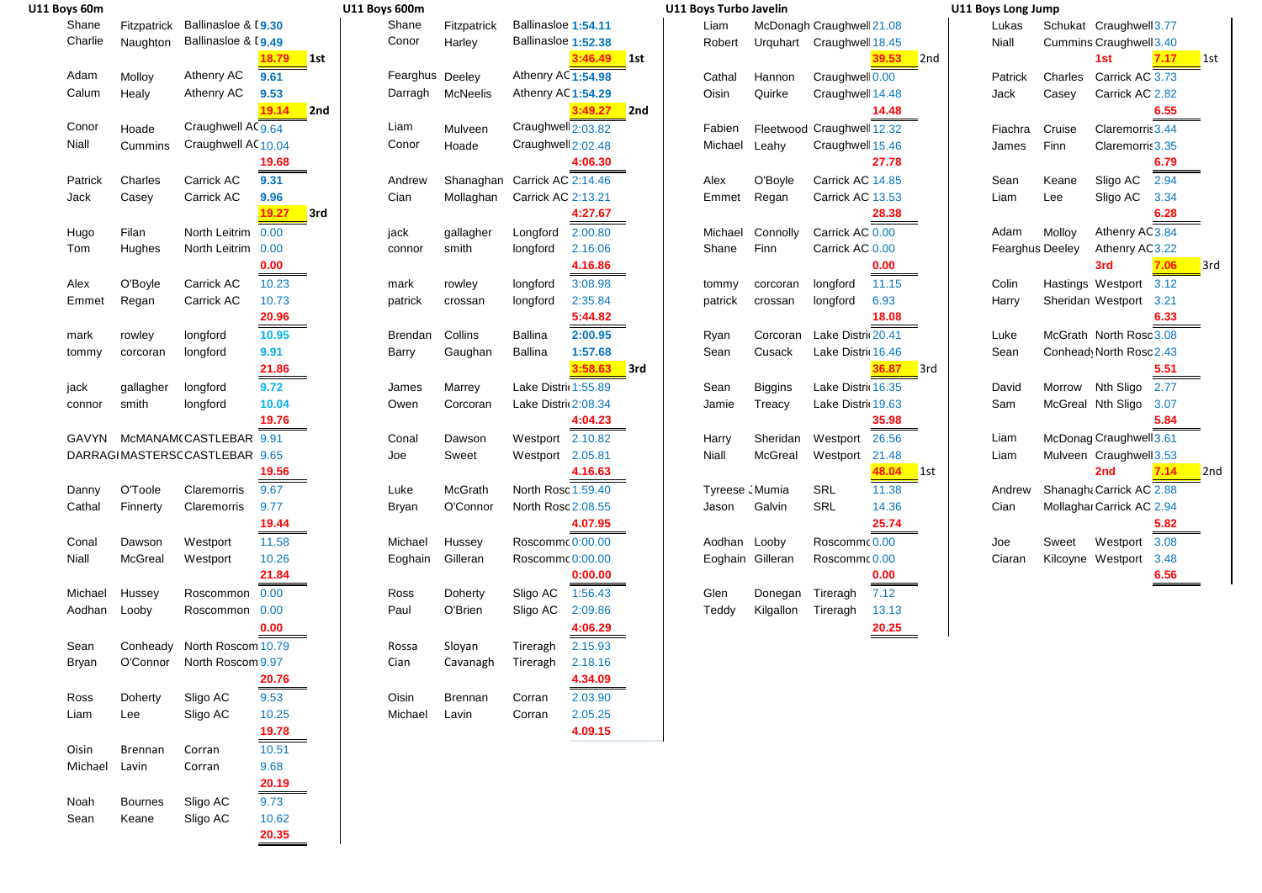| U11 Boys 60m   |                          |                                          |                             | <b>U11 Boys 600m</b> |                              |                                      |                    | U11 Boys Turbo Javelin |                    |                                           | U11 Boys Long Jump             |        |                                            |            |
|----------------|--------------------------|------------------------------------------|-----------------------------|----------------------|------------------------------|--------------------------------------|--------------------|------------------------|--------------------|-------------------------------------------|--------------------------------|--------|--------------------------------------------|------------|
| Shane          |                          | Fitzpatrick Ballinasloe & 19.30          |                             | Shane                | Fitzpatrick                  | Ballinasloe 1:54.11                  |                    | Liam                   |                    | McDonagh Craughwell 21.08                 | Lukas                          |        | Schukat Craughwell 3.77                    |            |
| Charlie        | Naughton                 | Ballinasloe & I 9.49                     |                             | Conor                | Harley                       | Ballinasloe 1:52.38                  |                    | Robert                 |                    | Urquhart Craughwell 18.45                 | Niall                          |        | Cummins Craughwell 3.40                    |            |
|                |                          |                                          | 18.79<br>$\blacksquare$ 1st |                      |                              |                                      | $3:46.49$ 1st      |                        |                    | 39.53<br>2nd                              |                                |        | 1st                                        | $7.17$ 1st |
| Adam           | Molloy                   | Athenry AC                               | 9.61                        | Fearghus Deeley      |                              | Athenry AC 1:54.98                   |                    | Cathal                 | Hannon             | Craughwell 0.00                           | Patrick                        |        | Charles Carrick AC 3.73                    |            |
| Calum          | Healy                    | Athenry AC                               | 9.53                        | Darragh              | McNeelis                     | Athenry AC 1:54.29                   |                    | Oisin                  | Quirke             | Craughwell 14.48                          | Jack                           | Casey  | Carrick AC 2.82                            |            |
|                |                          |                                          | 19.14<br>2nd                |                      |                              |                                      | 3:49.27<br>2nd     |                        |                    | 14.48                                     |                                |        | 6.55                                       |            |
| Conor          | Hoade                    | Craughwell AC <sub>9.64</sub>            |                             | Liam                 | Mulveen                      | Craughwell $2:03.82$                 |                    | Fabien                 |                    | Fleetwood Craughwell 12.32                | Fiachra                        | Cruise | Claremorris 3.44                           |            |
| Niall          | Cummins                  | Craughwell AC 10.04                      |                             | Conor                | Hoade                        | Craughwell 2:02.48                   |                    | Michael                | Leahy              | Craughwell 15.46                          | James                          | Finn   | Claremorris 3.35                           |            |
|                |                          |                                          | 19.68                       |                      |                              |                                      | 4:06.30            |                        |                    | 27.78                                     |                                |        | 6.79<br>$\equiv$                           |            |
| Patrick        | Charles                  | Carrick AC                               | 9.31                        | Andrew               | Shanaghan Carrick AC 2:14.46 |                                      |                    | Alex                   | O'Boyle            | Carrick AC 14.85                          | Sean                           | Keane  | 2.94<br>Sligo AC                           |            |
| Jack           | Casey                    | Carrick AC                               | 9.96                        | Cian                 | Mollaghan                    | Carrick AC 2:13.21                   |                    | Emmet                  | Regan              | Carrick AC 13.53                          | Liam                           | Lee    | Sligo AC<br>3.34                           |            |
|                |                          |                                          | 19.27<br>3rd                |                      |                              |                                      | 4:27.67            |                        |                    | 28.38                                     |                                |        | 6.28                                       |            |
| Hugo           | Filan                    | North Leitrim 0.00<br>North Leitrim 0.00 |                             | jack                 | gallagher                    | Longford                             | 2.00.80            | Michael                | Connolly<br>Finn   | Carrick AC 0.00<br>Carrick AC 0.00        | Adam<br><b>Fearghus Deeley</b> | Molloy | Athenry AC3.84<br>Athenry AC3.22           |            |
| Tom            | Hughes                   |                                          | 0.00                        | connor               | smith                        | longford                             | 2.16.06<br>4.16.86 | Shane                  |                    | 0.00                                      |                                |        | 7.06<br>3rd                                | 3rd        |
| Alex           | O'Boyle                  | Carrick AC                               | 10.23                       | mark                 | rowley                       | longford                             | 3:08.98            | tommy                  | corcoran           | longford<br>11.15                         | Colin                          |        | Hastings Westport 3.12                     |            |
| Emmet          | Regan                    | Carrick AC                               | 10.73                       | patrick              | crossan                      | longford                             | 2:35.84            | patrick                | crossan            | longford<br>6.93                          | Harry                          |        | Sheridan Westport 3.21                     |            |
|                |                          |                                          | 20.96                       |                      |                              |                                      | 5:44.82            |                        |                    | 18.08                                     |                                |        | 6.33                                       |            |
| mark           | rowley                   | longford                                 | 10.95                       | Brendan              | Collins                      | Ballina                              | 2:00.95            | Ryan                   | Corcoran           | Lake Distric 20.41                        | Luke                           |        | McGrath North Rosc 3.08                    |            |
| tommy          | corcoran                 | longford                                 | 9.91                        | Barry                | Gaughan                      | <b>Ballina</b>                       | 1:57.68            | Sean                   | Cusack             | Lake Distric 16.46                        | Sean                           |        | Conhead North Rosc 2.43                    |            |
|                |                          |                                          | 21.86                       |                      |                              |                                      | $3:58.63$ 3rd      |                        |                    | 36.87<br>$\blacksquare$ 3rd               |                                |        | 5.51                                       |            |
| jack           | gallagher                | longford                                 | 9.72                        | James                | Marrey                       | Lake Distric 1:55.89                 |                    | Sean                   | <b>Biggins</b>     | Lake Distric 16.35                        | David                          |        | Morrow Nth Sligo 2.77                      |            |
| connor         | smith                    | longford                                 | 10.04                       | Owen                 | Corcoran                     | Lake Distric 2:08.34                 |                    | Jamie                  | Treacy             | Lake Distric 19.63                        | Sam                            |        | McGreal Nth Sligo<br>3.07                  |            |
|                |                          |                                          | 19.76                       |                      |                              |                                      | 4:04.23            |                        |                    | 35.98                                     |                                |        | 5.84                                       |            |
|                |                          | GAVYN McMANAM(CASTLEBAR 9.91             |                             | Conal                | Dawson                       | Westport 2.10.82                     |                    | Harry                  | Sheridan           | Westport 26.56                            | Liam                           |        | McDonag Craughwell 3.61                    |            |
|                |                          | DARRAGIMASTERSCCASTLEBAR 9.65            |                             | Joe                  | Sweet                        | Westport 2.05.81                     |                    | Niall                  | McGreal            | Westport 21.48                            | Liam                           |        | Mulveen Craughwell 3.53                    |            |
|                |                          |                                          | 19.56                       |                      |                              |                                      | 4.16.63            |                        |                    | 48.04<br>$\sqrt{1}$ st                    |                                |        | 2 <sub>nd</sub>                            | $7.14$ 2nd |
| Danny          | O'Toole                  | Claremorris                              | 9.67                        | Luke                 | McGrath                      | North Rosc 1.59.40                   |                    | Tyreese Mumia          |                    | 11.38<br>SRL                              | Andrew                         |        | Shanagha Carrick AC 2.88                   |            |
| Cathal         | Finnerty                 | Claremorris                              | 9.77                        | Bryan                | O'Connor                     | North Rosc 2.08.55                   | 4.07.95            | Jason                  | Galvin             | <b>SRL</b><br>14.36<br>25.74              | Cian                           |        | Mollaghar Carrick AC 2.94                  |            |
|                |                          |                                          | 19.44                       |                      |                              |                                      |                    |                        |                    |                                           |                                |        | 5.82                                       |            |
| Conal<br>Niall | Dawson<br><b>McGreal</b> | Westport<br>Westport                     | 11.58<br>10.26              | Michael<br>Eoghain   | Hussey<br>Gilleran           | Roscommc 0:00.00<br>Roscommc 0:00.00 |                    | Aodhan Looby           | Eoghain Gilleran   | Roscommc 0.00<br>Roscommc <sub>0.00</sub> | Joe<br>Ciaran                  | Sweet  | Westport 3.08<br>Kilcoyne Westport<br>3.48 |            |
|                |                          |                                          | 21.84                       |                      |                              |                                      | 0:00.00            |                        |                    | 0.00                                      |                                |        | 6.56                                       |            |
|                | Michael Hussey           | Roscommon 0.00                           |                             | Ross                 | Doherty                      | Sligo AC 1:56.43                     |                    | Glen                   | Donegan Tireragh   | _______<br>7.12                           |                                |        |                                            |            |
|                | Aodhan Looby             | Roscommon 0.00                           |                             | Paul                 | O'Brien                      | Sligo AC 2:09.86                     |                    | Teddy                  | Kilgallon Tireragh | 13.13                                     |                                |        |                                            |            |
|                |                          |                                          | 0.00                        |                      |                              |                                      | 4:06.29            |                        |                    | 20.25                                     |                                |        |                                            |            |
| Sean           |                          | Conheady North Roscom 10.79              |                             | Rossa                | Sloyan                       | Tireragh 2.15.93                     |                    |                        |                    |                                           |                                |        |                                            |            |
| Bryan          |                          | O'Connor North Roscom 9.97               |                             | Cian                 | Cavanagh                     | Tireragh                             | 2.18.16            |                        |                    |                                           |                                |        |                                            |            |
|                |                          |                                          | 20.76                       |                      |                              |                                      | 4.34.09            |                        |                    |                                           |                                |        |                                            |            |
| Ross           | Doherty                  | Sligo AC                                 | 9.53                        | Oisin                | Brennan                      | Corran                               | 2.03.90            |                        |                    |                                           |                                |        |                                            |            |
| Liam           | Lee                      | Sligo AC                                 | 10.25                       | Michael              | Lavin                        | Corran                               | 2.05.25            |                        |                    |                                           |                                |        |                                            |            |
|                |                          |                                          | 19.78                       |                      |                              |                                      | 4.09.15            |                        |                    |                                           |                                |        |                                            |            |
| Oisin          | Brennan                  | Corran                                   | 10.51                       |                      |                              |                                      |                    |                        |                    |                                           |                                |        |                                            |            |
|                | Michael Lavin            | Corran                                   | 9.68                        |                      |                              |                                      |                    |                        |                    |                                           |                                |        |                                            |            |
|                |                          |                                          | 20.19<br>$\sim$ $\sim$      |                      |                              |                                      |                    |                        |                    |                                           |                                |        |                                            |            |
| Noah           | Bournes                  | Sligo AC                                 | 9.73                        |                      |                              |                                      |                    |                        |                    |                                           |                                |        |                                            |            |

Sean Keane Sligo AC 10.62

**20.35**

| g Jump |                   |                           |      |     |
|--------|-------------------|---------------------------|------|-----|
|        | Schukat           | Craughwell 3.77           |      |     |
|        |                   | Cummins Craughwell 3.40   |      |     |
|        |                   | 1st                       | 7.17 | 1st |
| k      | Charles           | Carrick AC 3.73           |      |     |
|        | Casey             | Carrick AC 2.82           |      |     |
|        |                   |                           | 6.55 |     |
| a      | Cruise            | Claremorris 3.44          |      |     |
| s      | Finn              | Claremorris 3.35          |      |     |
|        |                   |                           | 6.79 |     |
|        | Keane             | Sligo AC                  | 2.94 |     |
|        | Lee               | Sligo AC                  | 3.34 |     |
|        |                   |                           | 6.28 |     |
|        | Molloy            | Athenry AC3.84            |      |     |
|        | hus Deeley        | Athenry AC3.22            |      |     |
|        |                   | 3rd                       | 7.06 | 3rd |
|        | Hastings Westport |                           | 3.12 |     |
|        | Sheridan Westport |                           | 3.21 |     |
|        |                   |                           | 6.33 |     |
|        |                   | McGrath North Rosc 3.08   |      |     |
|        |                   | Conhead North Rosc 2.43   |      |     |
|        |                   |                           | 5.51 |     |
|        | Morrow            | Nth Sligo                 | 2.77 |     |
|        | McGreal           | Nth Sligo                 | 3.07 |     |
|        |                   |                           | 5.84 |     |
|        |                   | McDonag Craughwell 3.61   |      |     |
|        |                   | Mulveen Craughwell 3.53   |      |     |
|        |                   | 2nd                       | 7.14 | 2nd |
| W      |                   | Shanagh: Carrick AC 2.88  |      |     |
|        |                   | Mollaghar Carrick AC 2.94 |      |     |
|        |                   |                           | 5.82 |     |
|        | Sweet             | Westport                  | 3.08 |     |
| ٦      | Kilcoyne          | Westport                  | 3.48 |     |
|        |                   |                           | 6.56 |     |